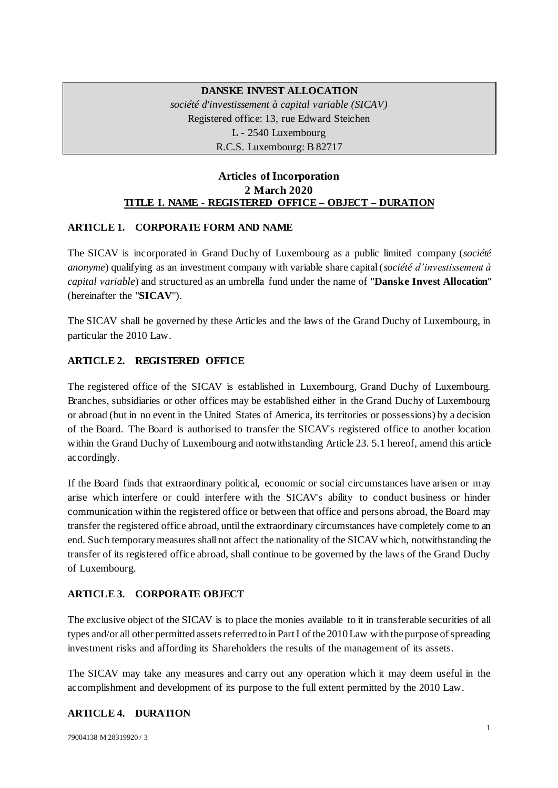# **DANSKE INVEST ALLOCATION**  *société d'investissement à capital variable (SICAV)* Registered office: 13, rue Edward Steichen L - 2540 Luxembourg R.C.S. Luxembourg: B 82717

# **Articles of Incorporation 2 March 2020 TITLE I. NAME - REGISTERED OFFICE – OBJECT – DURATION**

## **ARTICLE 1. CORPORATE FORM AND NAME**

The SICAV is incorporated in Grand Duchy of Luxembourg as a public limited company (*société anonyme*) qualifying as an investment company with variable share capital (*société d'investissement à capital variable*) and structured as an umbrella fund under the name of "**Danske Invest Allocation**" (hereinafter the "**SICAV**").

The SICAV shall be governed by these Articles and the laws of the Grand Duchy of Luxembourg, in particular the 2010 Law.

## **ARTICLE 2. REGISTERED OFFICE**

The registered office of the SICAV is established in Luxembourg, Grand Duchy of Luxembourg. Branches, subsidiaries or other offices may be established either in the Grand Duchy of Luxembourg or abroad (but in no event in the United States of America, its territories or possessions) by a decision of the Board. The Board is authorised to transfer the SICAV's registered office to another location within the Grand Duchy of Luxembourg and notwithstanding Articl[e 23. 5.1](#page-23-0) hereof, amend this article accordingly.

If the Board finds that extraordinary political, economic or social circumstances have arisen or may arise which interfere or could interfere with the SICAV's ability to conduct business or hinder communication within the registered office or between that office and persons abroad, the Board may transfer the registered office abroad, until the extraordinary circumstances have completely come to an end. Such temporary measures shall not affect the nationality of the SICAV which, notwithstanding the transfer of its registered office abroad, shall continue to be governed by the laws of the Grand Duchy of Luxembourg.

#### **ARTICLE 3. CORPORATE OBJECT**

The exclusive object of the SICAV is to place the monies available to it in transferable securities of all types and/or all other permitted assets referred to in Part I of the 2010 Law with the purpose of spreading investment risks and affording its Shareholders the results of the management of its assets.

The SICAV may take any measures and carry out any operation which it may deem useful in the accomplishment and development of its purpose to the full extent permitted by the 2010 Law.

### **ARTICLE 4. DURATION**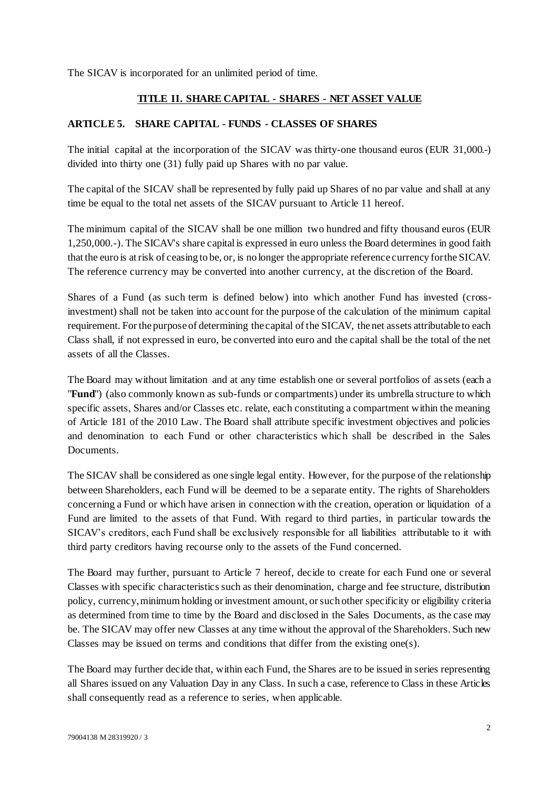The SICAV is incorporated for an unlimited period of time.

#### **TITLE II. SHARE CAPITAL - SHARES - NET ASSET VALUE**

#### <span id="page-1-0"></span>**ARTICLE 5. SHARE CAPITAL - FUNDS - CLASSES OF SHARES**

The initial capital at the incorporation of the SICAV was thirty-one thousand euros (EUR 31,000.-) divided into thirty one (31) fully paid up Shares with no par value.

The capital of the SICAV shall be represented by fully paid up Shares of no par value and shall at any time be equal to the total net assets of the SICAV pursuant [to Article 11](#page-9-0) hereof.

The minimum capital of the SICAV shall be one million two hundred and fifty thousand euros (EUR 1,250,000.-). The SICAV's share capital is expressed in euro unless the Board determines in good faith that the euro is at risk of ceasing to be, or, is no longer the appropriate reference currency for the SICAV. The reference currency may be converted into another currency, at the discretion of the Board.

Shares of a Fund (as such term is defined below) into which another Fund has invested (crossinvestment) shall not be taken into account for the purpose of the calculation of the minimum capital requirement. For the purpose of determining the capital of the SICAV, the net assets attributable to each Class shall, if not expressed in euro, be converted into euro and the capital shall be the total of the net assets of all the Classes.

The Board may without limitation and at any time establish one or several portfolios of assets (each a "**Fund**") (also commonly known as sub-funds or compartments) under its umbrella structure to which specific assets, Shares and/or Classes etc. relate, each constituting a compartment within the meaning of Article 181 of the 2010 Law. The Board shall attribute specific investment objectives and policies and denomination to each Fund or other characteristics which shall be described in the Sales **Documents** 

The SICAV shall be considered as one single legal entity. However, for the purpose of the relationship between Shareholders, each Fund will be deemed to be a separate entity. The rights of Shareholders concerning a Fund or which have arisen in connection with the creation, operation or liquidation of a Fund are limited to the assets of that Fund. With regard to third parties, in particular towards the SICAV's creditors, each Fund shall be exclusively responsible for all liabilities attributable to it with third party creditors having recourse only to the assets of the Fund concerned.

The Board may further, pursuant to [Article 7](#page-4-0) hereof, decide to create for each Fund one or several Classes with specific characteristics such as their denomination, charge and fee structure, distribution policy, currency, minimum holding or investment amount, or such other specificity or eligibility criteria as determined from time to time by the Board and disclosed in the Sales Documents, as the case may be. The SICAV may offer new Classes at any time without the approval of the Shareholders. Such new Classes may be issued on terms and conditions that differ from the existing one(s).

The Board may further decide that, within each Fund, the Shares are to be issued in series representing all Shares issued on any Valuation Day in any Class. In such a case, reference to Class in these Articles shall consequently read as a reference to series, when applicable.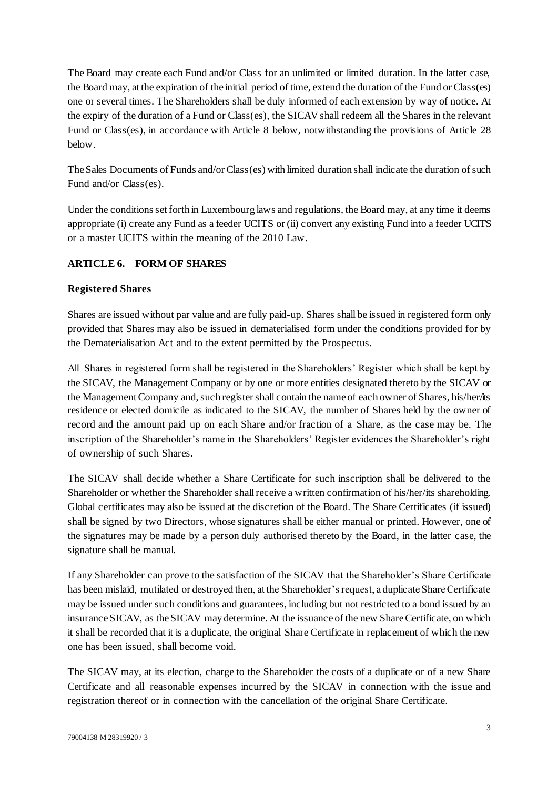The Board may create each Fund and/or Class for an unlimited or limited duration. In the latter case, the Board may, at the expiration of the initial period of time, extend the duration of the Fund or Class(es) one or several times. The Shareholders shall be duly informed of each extension by way of notice. At the expiry of the duration of a Fund or Class(es), the SICAVshall redeem all the Shares in the relevant Fund or Class(es), in accordance with [Article 8](#page-5-0) below, notwithstanding the provisions of [Article 28](#page-24-0) below.

The Sales Documents of Funds and/or Class(es) with limited duration shall indicate the duration of such Fund and/or Class(es).

Under the conditions set forth in Luxembourg laws and regulations, the Board may, at any time it deems appropriate (i) create any Fund as a feeder UCITS or (ii) convert any existing Fund into a feeder UCITS or a master UCITS within the meaning of the 2010 Law.

## **ARTICLE 6. FORM OF SHARES**

### **Registered Shares**

Shares are issued without par value and are fully paid-up. Shares shall be issued in registered form only provided that Shares may also be issued in dematerialised form under the conditions provided for by the Dematerialisation Act and to the extent permitted by the Prospectus.

All Shares in registered form shall be registered in the Shareholders' Register which shall be kept by the SICAV, the Management Company or by one or more entities designated thereto by the SICAV or the Management Company and, such register shall contain the name of each owner of Shares, his/her/its residence or elected domicile as indicated to the SICAV, the number of Shares held by the owner of record and the amount paid up on each Share and/or fraction of a Share, as the case may be. The inscription of the Shareholder's name in the Shareholders' Register evidences the Shareholder's right of ownership of such Shares.

The SICAV shall decide whether a Share Certificate for such inscription shall be delivered to the Shareholder or whether the Shareholder shall receive a written confirmation of his/her/its shareholding. Global certificates may also be issued at the discretion of the Board. The Share Certificates (if issued) shall be signed by two Directors, whose signatures shall be either manual or printed. However, one of the signatures may be made by a person duly authorised thereto by the Board, in the latter case, the signature shall be manual.

If any Shareholder can prove to the satisfaction of the SICAV that the Shareholder's Share Certificate has been mislaid, mutilated or destroyed then, at the Shareholder's request, a duplicate Share Certificate may be issued under such conditions and guarantees, including but not restricted to a bond issued by an insurance SICAV, as the SICAV may determine. At the issuance of the new Share Certificate, on which it shall be recorded that it is a duplicate, the original Share Certificate in replacement of which the new one has been issued, shall become void.

The SICAV may, at its election, charge to the Shareholder the costs of a duplicate or of a new Share Certificate and all reasonable expenses incurred by the SICAV in connection with the issue and registration thereof or in connection with the cancellation of the original Share Certificate.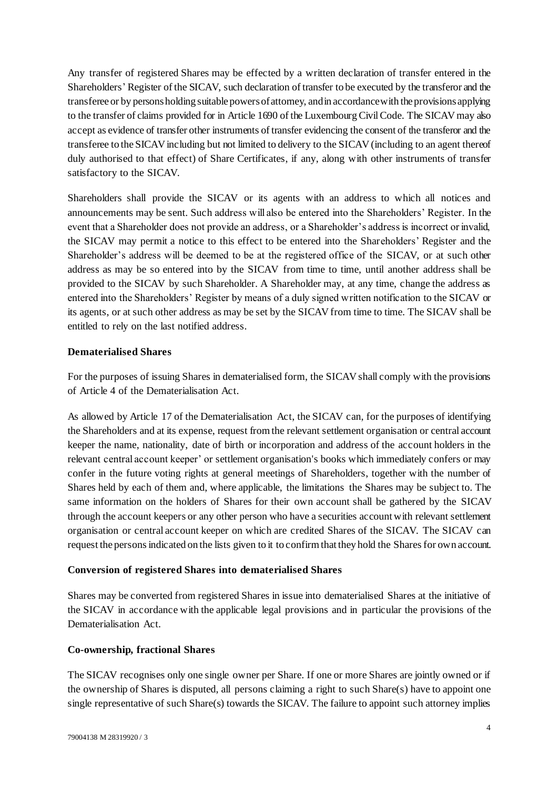Any transfer of registered Shares may be effected by a written declaration of transfer entered in the Shareholders' Register of the SICAV, such declaration of transfer to be executed by the transferor and the transferee or by persons holding suitable powers of attorney, and in accordance with the provisions applying to the transfer of claims provided for in Article 1690 of the Luxembourg Civil Code. The SICAVmay also accept as evidence of transfer other instruments of transfer evidencing the consent of the transferor and the transferee to the SICAVincluding but not limited to delivery to the SICAV(including to an agent thereof duly authorised to that effect) of Share Certificates, if any, along with other instruments of transfer satisfactory to the SICAV.

Shareholders shall provide the SICAV or its agents with an address to which all notices and announcements may be sent. Such address will also be entered into the Shareholders' Register. In the event that a Shareholder does not provide an address, or a Shareholder's address is incorrect or invalid, the SICAV may permit a notice to this effect to be entered into the Shareholders' Register and the Shareholder's address will be deemed to be at the registered office of the SICAV, or at such other address as may be so entered into by the SICAV from time to time, until another address shall be provided to the SICAV by such Shareholder. A Shareholder may, at any time, change the address as entered into the Shareholders' Register by means of a duly signed written notification to the SICAV or its agents, or at such other address as may be set by the SICAV from time to time. The SICAV shall be entitled to rely on the last notified address.

### **Dematerialised Shares**

For the purposes of issuing Shares in dematerialised form, the SICAV shall comply with the provisions of Article 4 of the Dematerialisation Act.

As allowed by Article 17 of the Dematerialisation Act, the SICAV can, for the purposes of identifying the Shareholders and at its expense, request from the relevant settlement organisation or central account keeper the name, nationality, date of birth or incorporation and address of the account holders in the relevant central account keeper' or settlement organisation's books which immediately confers or may confer in the future voting rights at general meetings of Shareholders, together with the number of Shares held by each of them and, where applicable, the limitations the Shares may be subject to. The same information on the holders of Shares for their own account shall be gathered by the SICAV through the account keepers or any other person who have a securities account with relevant settlement organisation or central account keeper on which are credited Shares of the SICAV. The SICAV can request the persons indicated on the lists given to it to confirm that they hold the Shares for own account.

#### **Conversion of registered Shares into dematerialised Shares**

Shares may be converted from registered Shares in issue into dematerialised Shares at the initiative of the SICAV in accordance with the applicable legal provisions and in particular the provisions of the Dematerialisation Act.

#### **Co-ownership, fractional Shares**

The SICAV recognises only one single owner per Share. If one or more Shares are jointly owned or if the ownership of Shares is disputed, all persons claiming a right to such Share(s) have to appoint one single representative of such Share(s) towards the SICAV. The failure to appoint such attorney implies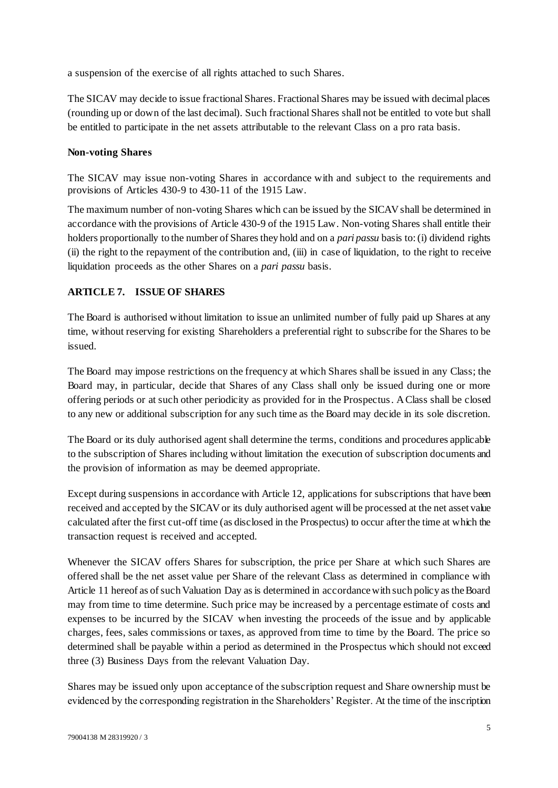a suspension of the exercise of all rights attached to such Shares.

The SICAV may decide to issue fractional Shares. Fractional Shares may be issued with decimal places (rounding up or down of the last decimal). Such fractional Shares shall not be entitled to vote but shall be entitled to participate in the net assets attributable to the relevant Class on a pro rata basis.

### **Non-voting Shares**

The SICAV may issue non-voting Shares in accordance with and subject to the requirements and provisions of Articles 430-9 to 430-11 of the 1915 Law.

The maximum number of non-voting Shares which can be issued by the SICAVshall be determined in accordance with the provisions of Article 430-9 of the 1915 Law. Non-voting Shares shall entitle their holders proportionally to the number of Shares they hold and on a *pari passu* basis to: (i) dividend rights (ii) the right to the repayment of the contribution and, (iii) in case of liquidation, to the right to receive liquidation proceeds as the other Shares on a *pari passu* basis.

## <span id="page-4-0"></span>**ARTICLE 7. ISSUE OF SHARES**

The Board is authorised without limitation to issue an unlimited number of fully paid up Shares at any time, without reserving for existing Shareholders a preferential right to subscribe for the Shares to be issued.

The Board may impose restrictions on the frequency at which Shares shall be issued in any Class; the Board may, in particular, decide that Shares of any Class shall only be issued during one or more offering periods or at such other periodicity as provided for in the Prospectus. A Class shall be closed to any new or additional subscription for any such time as the Board may decide in its sole discretion.

The Board or its duly authorised agent shall determine the terms, conditions and procedures applicable to the subscription of Shares including without limitation the execution of subscription documents and the provision of information as may be deemed appropriate.

Except during suspensions in accordance with Article 12, applications for subscriptions that have been received and accepted by the SICAVor its duly authorised agent will be processed at the net asset value calculated after the first cut-off time (as disclosed in the Prospectus) to occur after the time at which the transaction request is received and accepted.

Whenever the SICAV offers Shares for subscription, the price per Share at which such Shares are offered shall be the net asset value per Share of the relevant Class as determined in compliance with [Article 11](#page-9-0) hereof as of such Valuation Day as is determined in accordance with such policy as the Board may from time to time determine. Such price may be increased by a percentage estimate of costs and expenses to be incurred by the SICAV when investing the proceeds of the issue and by applicable charges, fees, sales commissions or taxes, as approved from time to time by the Board. The price so determined shall be payable within a period as determined in the Prospectus which should not exceed three (3) Business Days from the relevant Valuation Day.

Shares may be issued only upon acceptance of the subscription request and Share ownership must be evidenced by the corresponding registration in the Shareholders' Register. At the time of the inscription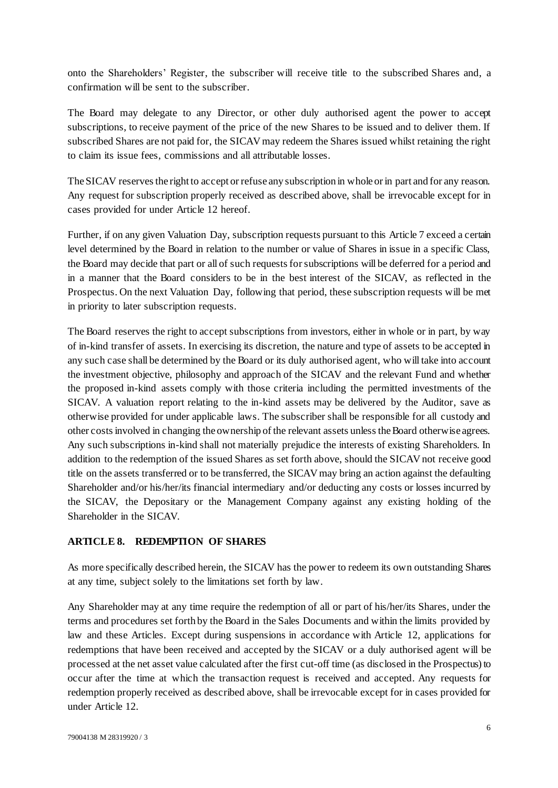onto the Shareholders' Register, the subscriber will receive title to the subscribed Shares and, a confirmation will be sent to the subscriber.

The Board may delegate to any Director, or other duly authorised agent the power to accept subscriptions, to receive payment of the price of the new Shares to be issued and to deliver them. If subscribed Shares are not paid for, the SICAVmay redeem the Shares issued whilst retaining the right to claim its issue fees, commissions and all attributable losses.

The SICAV reserves the right to accept or refuse any subscription in whole or in part and for any reason. Any request for subscription properly received as described above, shall be irrevocable except for in cases provided for und[er Article 12](#page-14-0) hereof.

Further, if on any given Valuation Day, subscription requests pursuant to thi[s Article 7](#page-4-0) exceed a certain level determined by the Board in relation to the number or value of Shares in issue in a specific Class, the Board may decide that part or all of such requests for subscriptions will be deferred for a period and in a manner that the Board considers to be in the best interest of the SICAV, as reflected in the Prospectus. On the next Valuation Day, following that period, these subscription requests will be met in priority to later subscription requests.

The Board reserves the right to accept subscriptions from investors, either in whole or in part, by way of in-kind transfer of assets. In exercising its discretion, the nature and type of assets to be accepted in any such case shall be determined by the Board or its duly authorised agent, who will take into account the investment objective, philosophy and approach of the SICAV and the relevant Fund and whether the proposed in-kind assets comply with those criteria including the permitted investments of the SICAV. A valuation report relating to the in-kind assets may be delivered by the Auditor, save as otherwise provided for under applicable laws. The subscriber shall be responsible for all custody and other costs involved in changing the ownership of the relevant assets unless the Board otherwise agrees. Any such subscriptions in-kind shall not materially prejudice the interests of existing Shareholders. In addition to the redemption of the issued Shares as set forth above, should the SICAV not receive good title on the assets transferred or to be transferred, the SICAVmay bring an action against the defaulting Shareholder and/or his/her/its financial intermediary and/or deducting any costs or losses incurred by the SICAV, the Depositary or the Management Company against any existing holding of the Shareholder in the SICAV.

## <span id="page-5-0"></span>**ARTICLE 8. REDEMPTION OF SHARES**

As more specifically described herein, the SICAV has the power to redeem its own outstanding Shares at any time, subject solely to the limitations set forth by law.

Any Shareholder may at any time require the redemption of all or part of his/her/its Shares, under the terms and procedures set forth by the Board in the Sales Documents and within the limits provided by law and these Articles. Except during suspensions in accordance with Article 12, applications for redemptions that have been received and accepted by the SICAV or a duly authorised agent will be processed at the net asset value calculated after the first cut-off time (as disclosed in the Prospectus) to occur after the time at which the transaction request is received and accepted. Any requests for redemption properly received as described above, shall be irrevocable except for in cases provided for under [Article 12.](#page-14-0)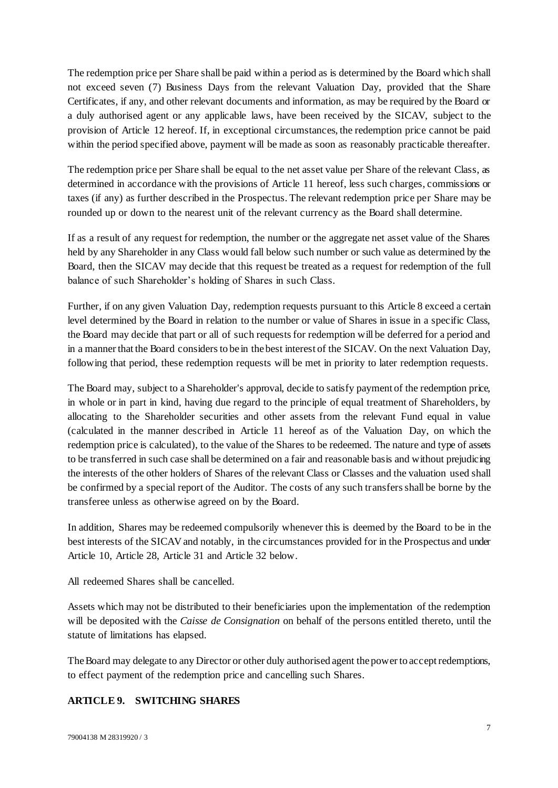The redemption price per Share shall be paid within a period as is determined by the Board which shall not exceed seven (7) Business Days from the relevant Valuation Day, provided that the Share Certificates, if any, and other relevant documents and information, as may be required by the Board or a duly authorised agent or any applicable laws, have been received by the SICAV, subject to the provision of [Article 12](#page-14-0) hereof. If, in exceptional circumstances, the redemption price cannot be paid within the period specified above, payment will be made as soon as reasonably practicable thereafter.

The redemption price per Share shall be equal to the net asset value per Share of the relevant Class, as determined in accordance with the provisions of [Article 11](#page-9-0) hereof, less such charges, commissions or taxes (if any) as further described in the Prospectus. The relevant redemption price per Share may be rounded up or down to the nearest unit of the relevant currency as the Board shall determine.

If as a result of any request for redemption, the number or the aggregate net asset value of the Shares held by any Shareholder in any Class would fall below such number or such value as determined by the Board, then the SICAV may decide that this request be treated as a request for redemption of the full balance of such Shareholder's holding of Shares in such Class.

Further, if on any given Valuation Day, redemption requests pursuant to thi[s Article 8](#page-5-0) exceed a certain level determined by the Board in relation to the number or value of Shares in issue in a specific Class, the Board may decide that part or all of such requests for redemption will be deferred for a period and in a manner that the Board considers to be in the best interest of the SICAV. On the next Valuation Day, following that period, these redemption requests will be met in priority to later redemption requests.

The Board may, subject to a Shareholder's approval, decide to satisfy payment of the redemption price, in whole or in part in kind, having due regard to the principle of equal treatment of Shareholders, by allocating to the Shareholder securities and other assets from the relevant Fund equal in value (calculated in the manner described in [Article 11](#page-9-0) hereof as of the Valuation Day, on which the redemption price is calculated), to the value of the Shares to be redeemed. The nature and type of assets to be transferred in such case shall be determined on a fair and reasonable basis and without prejudicing the interests of the other holders of Shares of the relevant Class or Classes and the valuation used shall be confirmed by a special report of the Auditor. The costs of any such transfers shall be borne by the transferee unless as otherwise agreed on by the Board.

In addition, Shares may be redeemed compulsorily whenever this is deemed by the Board to be in the best interests of the SICAVand notably, in the circumstances provided for in the Prospectus and under [Article 10,](#page-7-0) Article 28[, Article 31](#page-26-0) an[d Article 32](#page-27-0) below.

All redeemed Shares shall be cancelled.

Assets which may not be distributed to their beneficiaries upon the implementation of the redemption will be deposited with the *Caisse de Consignation* on behalf of the persons entitled thereto, until the statute of limitations has elapsed.

The Board may delegate to any Director or other duly authorised agent the power to accept redemptions, to effect payment of the redemption price and cancelling such Shares.

#### <span id="page-6-0"></span>**ARTICLE 9. SWITCHING SHARES**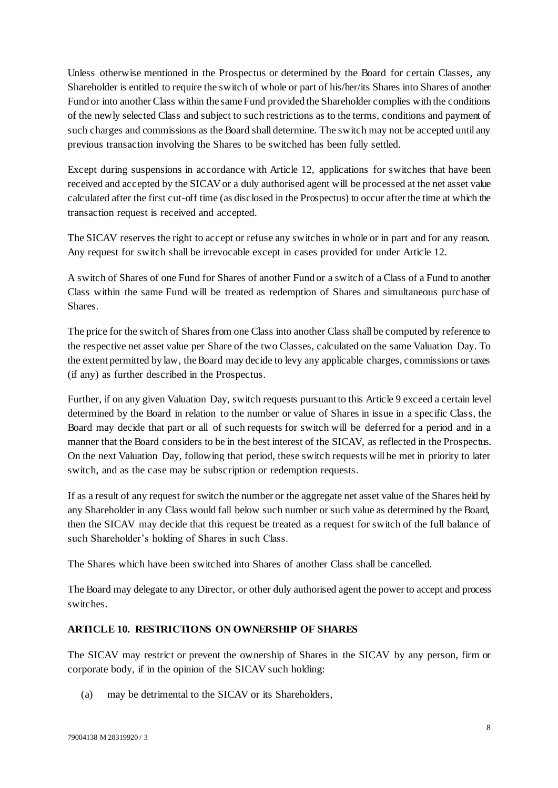Unless otherwise mentioned in the Prospectus or determined by the Board for certain Classes, any Shareholder is entitled to require the switch of whole or part of his/her/its Shares into Shares of another Fund or into another Class within the same Fund provided the Shareholder complies with the conditions of the newly selected Class and subject to such restrictions as to the terms, conditions and payment of such charges and commissions as the Board shall determine. The switch may not be accepted until any previous transaction involving the Shares to be switched has been fully settled.

Except during suspensions in accordance with Article 12, applications for switches that have been received and accepted by the SICAVor a duly authorised agent will be processed at the net asset value calculated after the first cut-off time (as disclosed in the Prospectus) to occur after the time at which the transaction request is received and accepted.

The SICAV reserves the right to accept or refuse any switches in whole or in part and for any reason. Any request for switch shall be irrevocable except in cases provided for un[der Article 1](#page-14-0)2.

A switch of Shares of one Fund for Shares of another Fund or a switch of a Class of a Fund to another Class within the same Fund will be treated as redemption of Shares and simultaneous purchase of **Shares** 

The price for the switch of Shares from one Class into another Class shall be computed by reference to the respective net asset value per Share of the two Classes, calculated on the same Valuation Day. To the extent permitted by law, the Board may decide to levy any applicable charges, commissions or taxes (if any) as further described in the Prospectus.

Further, if on any given Valuation Day, switch requests pursuant to thi[s Article 9](#page-6-0) exceed a certain level determined by the Board in relation to the number or value of Shares in issue in a specific Class, the Board may decide that part or all of such requests for switch will be deferred for a period and in a manner that the Board considers to be in the best interest of the SICAV, as reflected in the Prospectus. On the next Valuation Day, following that period, these switch requests will be met in priority to later switch, and as the case may be subscription or redemption requests.

If as a result of any request for switch the number or the aggregate net asset value of the Shares held by any Shareholder in any Class would fall below such number or such value as determined by the Board, then the SICAV may decide that this request be treated as a request for switch of the full balance of such Shareholder's holding of Shares in such Class.

The Shares which have been switched into Shares of another Class shall be cancelled.

The Board may delegate to any Director, or other duly authorised agent the power to accept and process switches.

## <span id="page-7-0"></span>**ARTICLE 10. RESTRICTIONS ON OWNERSHIP OF SHARES**

The SICAV may restrict or prevent the ownership of Shares in the SICAV by any person, firm or corporate body, if in the opinion of the SICAV such holding:

(a) may be detrimental to the SICAV or its Shareholders,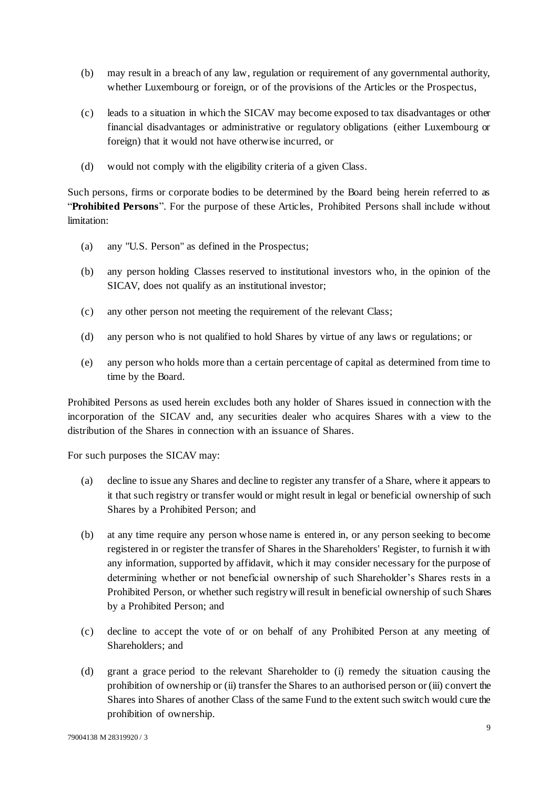- (b) may result in a breach of any law, regulation or requirement of any governmental authority, whether Luxembourg or foreign, or of the provisions of the Articles or the Prospectus,
- (c) leads to a situation in which the SICAV may become exposed to tax disadvantages or other financial disadvantages or administrative or regulatory obligations (either Luxembourg or foreign) that it would not have otherwise incurred, or
- (d) would not comply with the eligibility criteria of a given Class.

Such persons, firms or corporate bodies to be determined by the Board being herein referred to as "**Prohibited Persons**". For the purpose of these Articles, Prohibited Persons shall include without limitation:

- (a) any "U.S. Person" as defined in the Prospectus;
- (b) any person holding Classes reserved to institutional investors who, in the opinion of the SICAV, does not qualify as an institutional investor;
- (c) any other person not meeting the requirement of the relevant Class;
- (d) any person who is not qualified to hold Shares by virtue of any laws or regulations; or
- (e) any person who holds more than a certain percentage of capital as determined from time to time by the Board.

Prohibited Persons as used herein excludes both any holder of Shares issued in connection with the incorporation of the SICAV and, any securities dealer who acquires Shares with a view to the distribution of the Shares in connection with an issuance of Shares.

For such purposes the SICAV may:

- (a) decline to issue any Shares and decline to register any transfer of a Share, where it appears to it that such registry or transfer would or might result in legal or beneficial ownership of such Shares by a Prohibited Person; and
- (b) at any time require any person whose name is entered in, or any person seeking to become registered in or register the transfer of Shares in the Shareholders' Register, to furnish it with any information, supported by affidavit, which it may consider necessary for the purpose of determining whether or not beneficial ownership of such Shareholder's Shares rests in a Prohibited Person, or whether such registry will result in beneficial ownership of such Shares by a Prohibited Person; and
- (c) decline to accept the vote of or on behalf of any Prohibited Person at any meeting of Shareholders; and
- (d) grant a grace period to the relevant Shareholder to (i) remedy the situation causing the prohibition of ownership or (ii) transfer the Shares to an authorised person or (iii) convert the Shares into Shares of another Class of the same Fund to the extent such switch would cure the prohibition of ownership.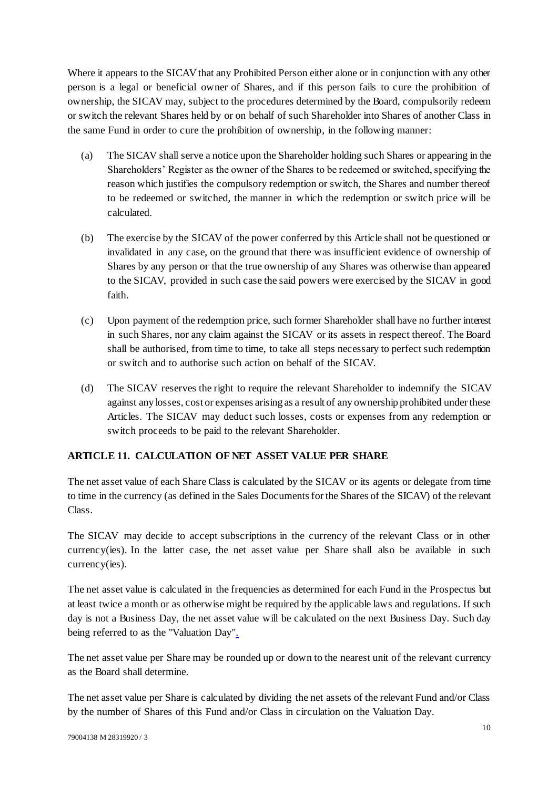Where it appears to the SICAV that any Prohibited Person either alone or in conjunction with any other person is a legal or beneficial owner of Shares, and if this person fails to cure the prohibition of ownership, the SICAV may, subject to the procedures determined by the Board, compulsorily redeem or switch the relevant Shares held by or on behalf of such Shareholder into Shares of another Class in the same Fund in order to cure the prohibition of ownership, in the following manner:

- (a) The SICAV shall serve a notice upon the Shareholder holding such Shares or appearing in the Shareholders' Register as the owner of the Shares to be redeemed or switched, specifying the reason which justifies the compulsory redemption or switch, the Shares and number thereof to be redeemed or switched, the manner in which the redemption or switch price will be calculated.
- (b) The exercise by the SICAV of the power conferred by this Article shall not be questioned or invalidated in any case, on the ground that there was insufficient evidence of ownership of Shares by any person or that the true ownership of any Shares was otherwise than appeared to the SICAV, provided in such case the said powers were exercised by the SICAV in good faith.
- (c) Upon payment of the redemption price, such former Shareholder shall have no further interest in such Shares, nor any claim against the SICAV or its assets in respect thereof. The Board shall be authorised, from time to time, to take all steps necessary to perfect such redemption or switch and to authorise such action on behalf of the SICAV.
- (d) The SICAV reserves the right to require the relevant Shareholder to indemnify the SICAV against any losses, cost or expenses arising as a result of any ownership prohibited under these Articles. The SICAV may deduct such losses, costs or expenses from any redemption or switch proceeds to be paid to the relevant Shareholder.

## <span id="page-9-0"></span>**ARTICLE 11. CALCULATION OF NET ASSET VALUE PER SHARE**

The net asset value of each Share Class is calculated by the SICAV or its agents or delegate from time to time in the currency (as defined in the Sales Documents for the Shares of the SICAV) of the relevant Class.

The SICAV may decide to accept subscriptions in the currency of the relevant Class or in other currency(ies). In the latter case, the net asset value per Share shall also be available in such currency(ies).

The net asset value is calculated in the frequencies as determined for each Fund in the Prospectus but at least twice a month or as otherwise might be required by the applicable laws and regulations. If such day is not a Business Day, the net asset value will be calculated on the next Business Day. Such day being referred to as the "Valuation Day".

The net asset value per Share may be rounded up or down to the nearest unit of the relevant currency as the Board shall determine.

The net asset value per Share is calculated by dividing the net assets of the relevant Fund and/or Class by the number of Shares of this Fund and/or Class in circulation on the Valuation Day.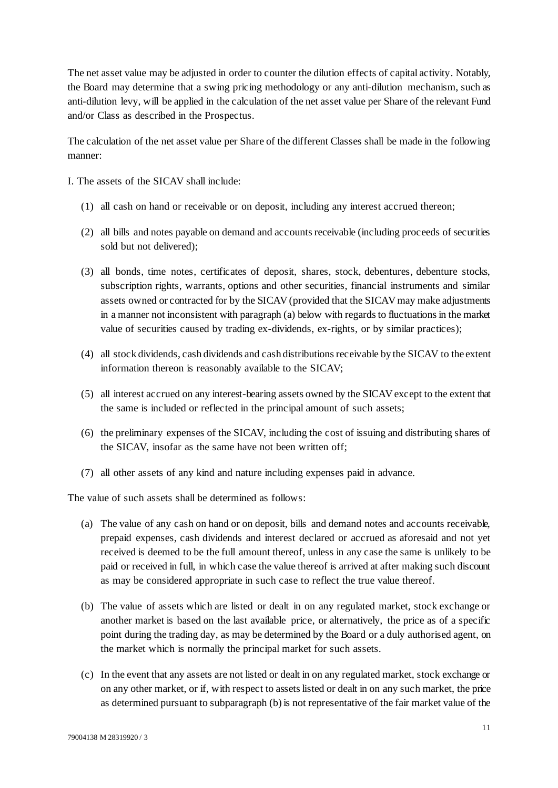The net asset value may be adjusted in order to counter the dilution effects of capital activity. Notably, the Board may determine that a swing pricing methodology or any anti-dilution mechanism, such as anti-dilution levy, will be applied in the calculation of the net asset value per Share of the relevant Fund and/or Class as described in the Prospectus.

The calculation of the net asset value per Share of the different Classes shall be made in the following manner:

- I. The assets of the SICAV shall include:
	- (1) all cash on hand or receivable or on deposit, including any interest accrued thereon;
	- (2) all bills and notes payable on demand and accounts receivable (including proceeds of securities sold but not delivered);
	- (3) all bonds, time notes, certificates of deposit, shares, stock, debentures, debenture stocks, subscription rights, warrants, options and other securities, financial instruments and similar assets owned or contracted for by the SICAV (provided that the SICAV may make adjustments in a manner not inconsistent with paragraph (a) below with regards to fluctuations in the market value of securities caused by trading ex-dividends, ex-rights, or by similar practices);
	- (4) all stock dividends, cash dividends and cash distributions receivable by the SICAV to the extent information thereon is reasonably available to the SICAV;
	- (5) all interest accrued on any interest-bearing assets owned by the SICAVexcept to the extent that the same is included or reflected in the principal amount of such assets;
	- (6) the preliminary expenses of the SICAV, including the cost of issuing and distributing shares of the SICAV, insofar as the same have not been written off;
	- (7) all other assets of any kind and nature including expenses paid in advance.

The value of such assets shall be determined as follows:

- (a) The value of any cash on hand or on deposit, bills and demand notes and accounts receivable, prepaid expenses, cash dividends and interest declared or accrued as aforesaid and not yet received is deemed to be the full amount thereof, unless in any case the same is unlikely to be paid or received in full, in which case the value thereof is arrived at after making such discount as may be considered appropriate in such case to reflect the true value thereof.
- (b) The value of assets which are listed or dealt in on any regulated market, stock exchange or another market is based on the last available price, or alternatively, the price as of a specific point during the trading day, as may be determined by the Board or a duly authorised agent, on the market which is normally the principal market for such assets.
- (c) In the event that any assets are not listed or dealt in on any regulated market, stock exchange or on any other market, or if, with respect to assets listed or dealt in on any such market, the price as determined pursuant to subparagraph (b) is not representative of the fair market value of the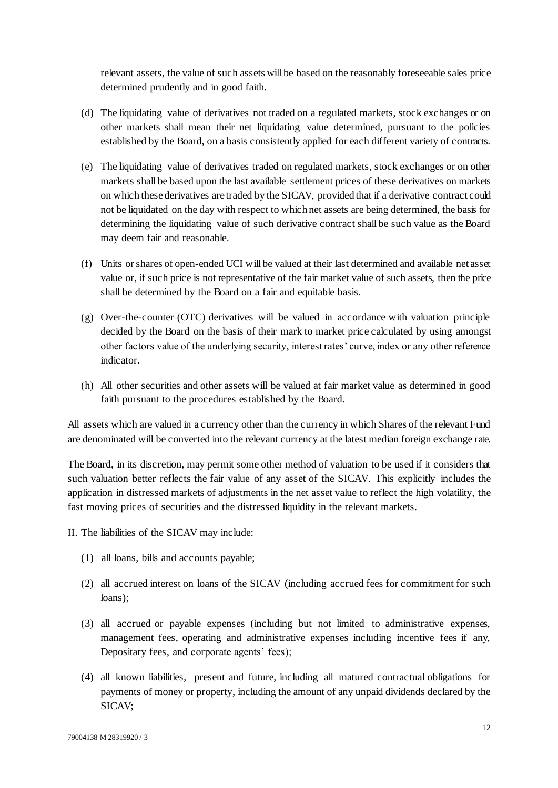relevant assets, the value of such assets will be based on the reasonably foreseeable sales price determined prudently and in good faith.

- (d) The liquidating value of derivatives not traded on a regulated markets, stock exchanges or on other markets shall mean their net liquidating value determined, pursuant to the policies established by the Board, on a basis consistently applied for each different variety of contracts.
- (e) The liquidating value of derivatives traded on regulated markets, stock exchanges or on other markets shall be based upon the last available settlement prices of these derivatives on markets on which these derivatives are traded by the SICAV, provided that if a derivative contract could not be liquidated on the day with respect to which net assets are being determined, the basis for determining the liquidating value of such derivative contract shall be such value as the Board may deem fair and reasonable.
- (f) Units or shares of open-ended UCI will be valued at their last determined and available net asset value or, if such price is not representative of the fair market value of such assets, then the price shall be determined by the Board on a fair and equitable basis.
- (g) Over-the-counter (OTC) derivatives will be valued in accordance with valuation principle decided by the Board on the basis of their mark to market price calculated by using amongst other factors value of the underlying security, interest rates' curve, index or any other reference indicator.
- (h) All other securities and other assets will be valued at fair market value as determined in good faith pursuant to the procedures established by the Board.

All assets which are valued in a currency other than the currency in which Shares of the relevant Fund are denominated will be converted into the relevant currency at the latest median foreign exchange rate.

The Board, in its discretion, may permit some other method of valuation to be used if it considers that such valuation better reflects the fair value of any asset of the SICAV. This explicitly includes the application in distressed markets of adjustments in the net asset value to reflect the high volatility, the fast moving prices of securities and the distressed liquidity in the relevant markets.

II. The liabilities of the SICAV may include:

- (1) all loans, bills and accounts payable;
- (2) all accrued interest on loans of the SICAV (including accrued fees for commitment for such loans);
- (3) all accrued or payable expenses (including but not limited to administrative expenses, management fees, operating and administrative expenses including incentive fees if any, Depositary fees, and corporate agents' fees);
- (4) all known liabilities, present and future, including all matured contractual obligations for payments of money or property, including the amount of any unpaid dividends declared by the SICAV;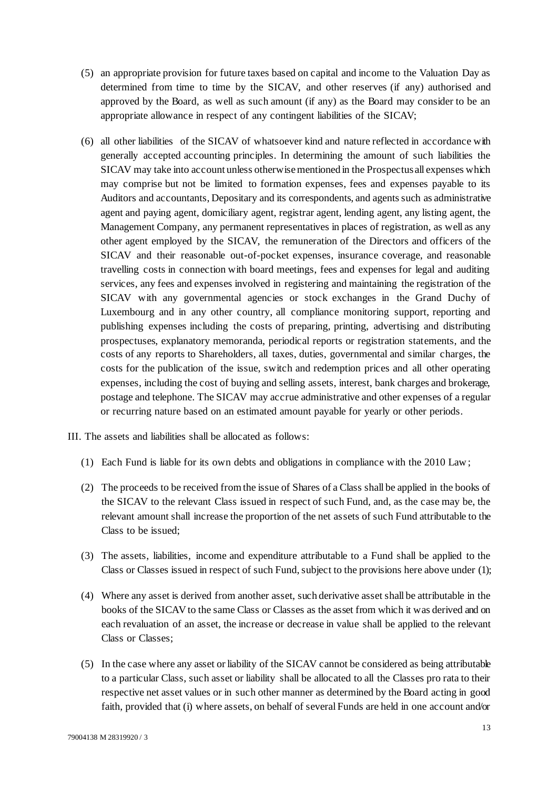- (5) an appropriate provision for future taxes based on capital and income to the Valuation Day as determined from time to time by the SICAV, and other reserves (if any) authorised and approved by the Board, as well as such amount (if any) as the Board may consider to be an appropriate allowance in respect of any contingent liabilities of the SICAV;
- (6) all other liabilities of the SICAV of whatsoever kind and nature reflected in accordance with generally accepted accounting principles. In determining the amount of such liabilities the SICAV may take into account unless otherwise mentioned in the Prospectus all expenses which may comprise but not be limited to formation expenses, fees and expenses payable to its Auditors and accountants, Depositary and its correspondents, and agents such as administrative agent and paying agent, domiciliary agent, registrar agent, lending agent, any listing agent, the Management Company, any permanent representatives in places of registration, as well as any other agent employed by the SICAV, the remuneration of the Directors and officers of the SICAV and their reasonable out-of-pocket expenses, insurance coverage, and reasonable travelling costs in connection with board meetings, fees and expenses for legal and auditing services, any fees and expenses involved in registering and maintaining the registration of the SICAV with any governmental agencies or stock exchanges in the Grand Duchy of Luxembourg and in any other country, all compliance monitoring support, reporting and publishing expenses including the costs of preparing, printing, advertising and distributing prospectuses, explanatory memoranda, periodical reports or registration statements, and the costs of any reports to Shareholders, all taxes, duties, governmental and similar charges, the costs for the publication of the issue, switch and redemption prices and all other operating expenses, including the cost of buying and selling assets, interest, bank charges and brokerage, postage and telephone. The SICAV may accrue administrative and other expenses of a regular or recurring nature based on an estimated amount payable for yearly or other periods.
- III. The assets and liabilities shall be allocated as follows:
	- (1) Each Fund is liable for its own debts and obligations in compliance with the 2010 Law;
	- (2) The proceeds to be received from the issue of Shares of a Class shall be applied in the books of the SICAV to the relevant Class issued in respect of such Fund, and, as the case may be, the relevant amount shall increase the proportion of the net assets of such Fund attributable to the Class to be issued;
	- (3) The assets, liabilities, income and expenditure attributable to a Fund shall be applied to the Class or Classes issued in respect of such Fund, subject to the provisions here above under (1);
	- (4) Where any asset is derived from another asset, such derivative asset shall be attributable in the books of the SICAV to the same Class or Classes as the asset from which it was derived and on each revaluation of an asset, the increase or decrease in value shall be applied to the relevant Class or Classes;
	- (5) In the case where any asset or liability of the SICAV cannot be considered as being attributable to a particular Class, such asset or liability shall be allocated to all the Classes pro rata to their respective net asset values or in such other manner as determined by the Board acting in good faith, provided that (i) where assets, on behalf of several Funds are held in one account and/or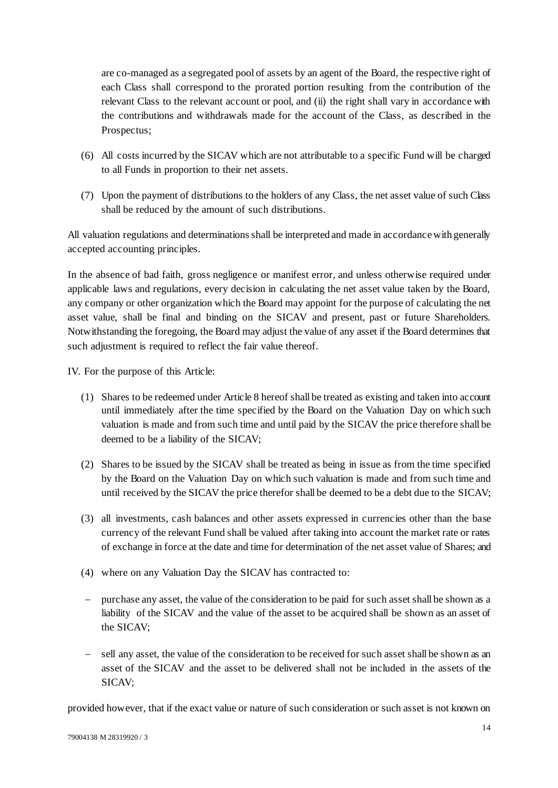are co-managed as a segregated pool of assets by an agent of the Board, the respective right of each Class shall correspond to the prorated portion resulting from the contribution of the relevant Class to the relevant account or pool, and (ii) the right shall vary in accordance with the contributions and withdrawals made for the account of the Class, as described in the Prospectus;

- (6) All costs incurred by the SICAV which are not attributable to a specific Fund will be charged to all Funds in proportion to their net assets.
- (7) Upon the payment of distributions to the holders of any Class, the net asset value of such Class shall be reduced by the amount of such distributions.

All valuation regulations and determinations shall be interpreted and made in accordance with generally accepted accounting principles.

In the absence of bad faith, gross negligence or manifest error, and unless otherwise required under applicable laws and regulations, every decision in calculating the net asset value taken by the Board, any company or other organization which the Board may appoint for the purpose of calculating the net asset value, shall be final and binding on the SICAV and present, past or future Shareholders. Notwithstanding the foregoing, the Board may adjust the value of any asset if the Board determines that such adjustment is required to reflect the fair value thereof.

IV. For the purpose of this Article:

- (1) Shares to be redeemed unde[r Article 8](#page-5-0) hereof shall be treated as existing and taken into account until immediately after the time specified by the Board on the Valuation Day on which such valuation is made and from such time and until paid by the SICAV the price therefore shall be deemed to be a liability of the SICAV;
- (2) Shares to be issued by the SICAV shall be treated as being in issue as from the time specified by the Board on the Valuation Day on which such valuation is made and from such time and until received by the SICAV the price therefor shall be deemed to be a debt due to the SICAV;
- (3) all investments, cash balances and other assets expressed in currencies other than the base currency of the relevant Fund shall be valued after taking into account the market rate or rates of exchange in force at the date and time for determination of the net asset value of Shares; and
- (4) where on any Valuation Day the SICAV has contracted to:
- purchase any asset, the value of the consideration to be paid for such asset shall be shown as a liability of the SICAV and the value of the asset to be acquired shall be shown as an asset of the SICAV;
- sell any asset, the value of the consideration to be received for such asset shall be shown as an asset of the SICAV and the asset to be delivered shall not be included in the assets of the SICAV;

provided however, that if the exact value or nature of such consideration or such asset is not known on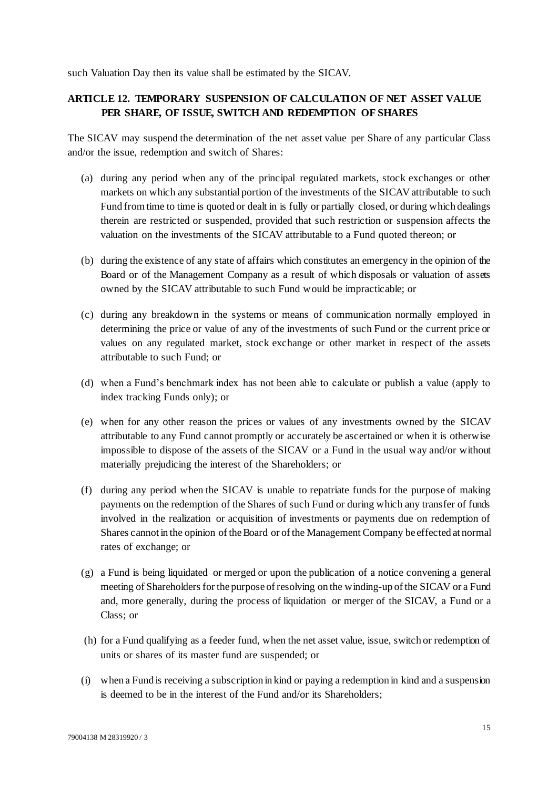such Valuation Day then its value shall be estimated by the SICAV.

# <span id="page-14-0"></span>**ARTICLE 12. TEMPORARY SUSPENSION OF CALCULATION OF NET ASSET VALUE PER SHARE, OF ISSUE, SWITCH AND REDEMPTION OF SHARES**

The SICAV may suspend the determination of the net asset value per Share of any particular Class and/or the issue, redemption and switch of Shares:

- (a) during any period when any of the principal regulated markets, stock exchanges or other markets on which any substantial portion of the investments of the SICAVattributable to such Fund from time to time is quoted or dealt in is fully or partially closed, or during which dealings therein are restricted or suspended, provided that such restriction or suspension affects the valuation on the investments of the SICAV attributable to a Fund quoted thereon; or
- (b) during the existence of any state of affairs which constitutes an emergency in the opinion of the Board or of the Management Company as a result of which disposals or valuation of assets owned by the SICAV attributable to such Fund would be impracticable; or
- (c) during any breakdown in the systems or means of communication normally employed in determining the price or value of any of the investments of such Fund or the current price or values on any regulated market, stock exchange or other market in respect of the assets attributable to such Fund; or
- (d) when a Fund's benchmark index has not been able to calculate or publish a value (apply to index tracking Funds only); or
- (e) when for any other reason the prices or values of any investments owned by the SICAV attributable to any Fund cannot promptly or accurately be ascertained or when it is otherwise impossible to dispose of the assets of the SICAV or a Fund in the usual way and/or without materially prejudicing the interest of the Shareholders; or
- (f) during any period when the SICAV is unable to repatriate funds for the purpose of making payments on the redemption of the Shares of such Fund or during which any transfer of funds involved in the realization or acquisition of investments or payments due on redemption of Shares cannot in the opinion of the Board or of the Management Company be effected at normal rates of exchange; or
- (g) a Fund is being liquidated or merged or upon the publication of a notice convening a general meeting of Shareholders for the purpose of resolving on the winding-up of the SICAV or a Fund and, more generally, during the process of liquidation or merger of the SICAV, a Fund or a Class; or
- (h) for a Fund qualifying as a feeder fund, when the net asset value, issue, switch or redemption of units or shares of its master fund are suspended; or
- (i) when a Fund is receiving a subscription in kind or paying a redemption in kind and a suspension is deemed to be in the interest of the Fund and/or its Shareholders;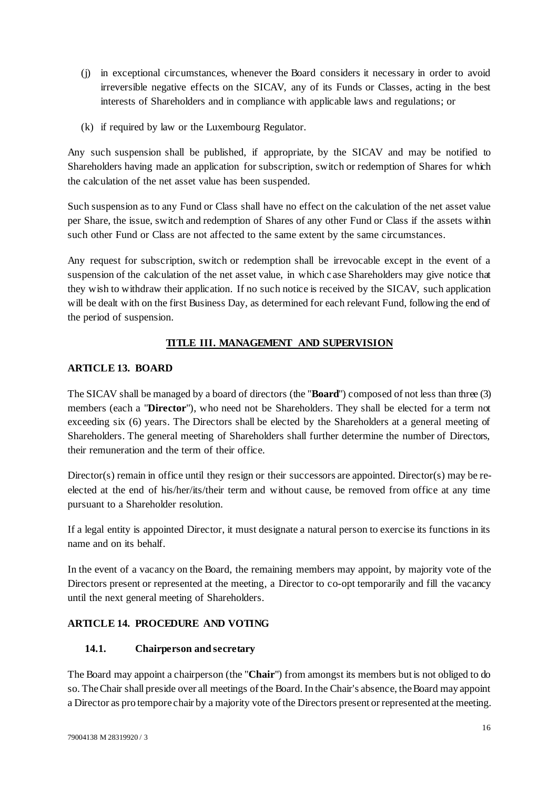- (j) in exceptional circumstances, whenever the Board considers it necessary in order to avoid irreversible negative effects on the SICAV, any of its Funds or Classes, acting in the best interests of Shareholders and in compliance with applicable laws and regulations; or
- (k) if required by law or the Luxembourg Regulator.

Any such suspension shall be published, if appropriate, by the SICAV and may be notified to Shareholders having made an application for subscription, switch or redemption of Shares for which the calculation of the net asset value has been suspended.

Such suspension as to any Fund or Class shall have no effect on the calculation of the net asset value per Share, the issue, switch and redemption of Shares of any other Fund or Class if the assets within such other Fund or Class are not affected to the same extent by the same circumstances.

Any request for subscription, switch or redemption shall be irrevocable except in the event of a suspension of the calculation of the net asset value, in which case Shareholders may give notice that they wish to withdraw their application. If no such notice is received by the SICAV, such application will be dealt with on the first Business Day, as determined for each relevant Fund, following the end of the period of suspension.

# **TITLE III. MANAGEMENT AND SUPERVISION**

## <span id="page-15-0"></span>**ARTICLE 13. BOARD**

The SICAV shall be managed by a board of directors (the "**Board**") composed of not less than three (3) members (each a "**Director**"), who need not be Shareholders. They shall be elected for a term not exceeding six (6) years. The Directors shall be elected by the Shareholders at a general meeting of Shareholders. The general meeting of Shareholders shall further determine the number of Directors, their remuneration and the term of their office.

Director(s) remain in office until they resign or their successors are appointed. Director(s) may be reelected at the end of his/her/its/their term and without cause, be removed from office at any time pursuant to a Shareholder resolution.

If a legal entity is appointed Director, it must designate a natural person to exercise its functions in its name and on its behalf.

In the event of a vacancy on the Board, the remaining members may appoint, by majority vote of the Directors present or represented at the meeting, a Director to co-opt temporarily and fill the vacancy until the next general meeting of Shareholders.

# **ARTICLE 14. PROCEDURE AND VOTING**

## <span id="page-15-1"></span>**14.1. Chairperson and secretary**

The Board may appoint a chairperson (the "**Chair**") from amongst its members but is not obliged to do so. The Chair shall preside over all meetings of the Board. In the Chair's absence, the Board may appoint a Director as pro tempore chair by a majority vote of the Directors present or represented at the meeting.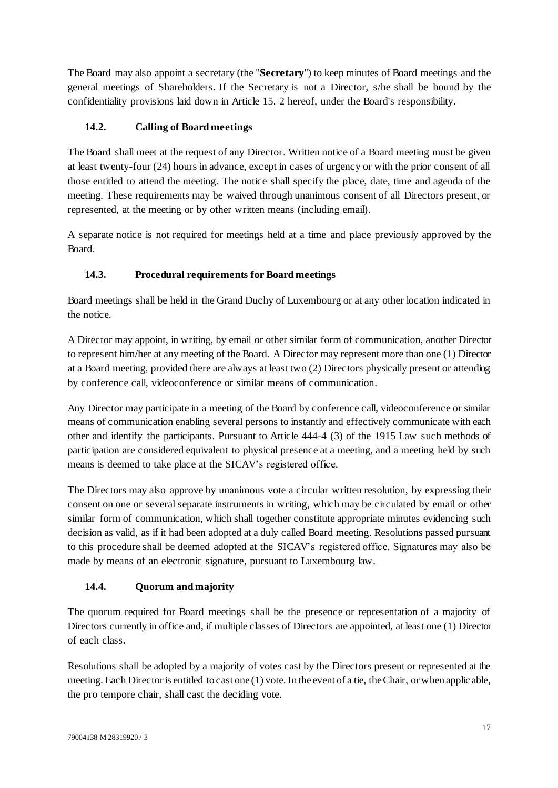The Board may also appoint a secretary (the "**Secretary**") to keep minutes of Board meetings and the general meetings of Shareholders. If the Secretary is not a Director, s/he shall be bound by the confidentiality provisions laid down in Articl[e 15. 2](#page-17-0) hereof, under the Board's responsibility.

## **14.2. Calling of Board meetings**

The Board shall meet at the request of any Director. Written notice of a Board meeting must be given at least twenty-four (24) hours in advance, except in cases of urgency or with the prior consent of all those entitled to attend the meeting. The notice shall specify the place, date, time and agenda of the meeting. These requirements may be waived through unanimous consent of all Directors present, or represented, at the meeting or by other written means (including email).

A separate notice is not required for meetings held at a time and place previously approved by the Board.

# **14.3. Procedural requirements for Board meetings**

Board meetings shall be held in the Grand Duchy of Luxembourg or at any other location indicated in the notice.

A Director may appoint, in writing, by email or other similar form of communication, another Director to represent him/her at any meeting of the Board. A Director may represent more than one (1) Director at a Board meeting, provided there are always at least two (2) Directors physically present or attending by conference call, videoconference or similar means of communication.

Any Director may participate in a meeting of the Board by conference call, videoconference or similar means of communication enabling several persons to instantly and effectively communicate with each other and identify the participants. Pursuant to Article 444-4 (3) of the 1915 Law such methods of participation are considered equivalent to physical presence at a meeting, and a meeting held by such means is deemed to take place at the SICAV's registered office.

The Directors may also approve by unanimous vote a circular written resolution, by expressing their consent on one or several separate instruments in writing, which may be circulated by email or other similar form of communication, which shall together constitute appropriate minutes evidencing such decision as valid, as if it had been adopted at a duly called Board meeting. Resolutions passed pursuant to this procedure shall be deemed adopted at the SICAV's registered office. Signatures may also be made by means of an electronic signature, pursuant to Luxembourg law.

# <span id="page-16-0"></span>**14.4. Quorum and majority**

The quorum required for Board meetings shall be the presence or representation of a majority of Directors currently in office and, if multiple classes of Directors are appointed, at least one (1) Director of each class.

Resolutions shall be adopted by a majority of votes cast by the Directors present or represented at the meeting. Each Director is entitled to cast one (1) vote. In the event of a tie, the Chair, or when applic able, the pro tempore chair, shall cast the deciding vote.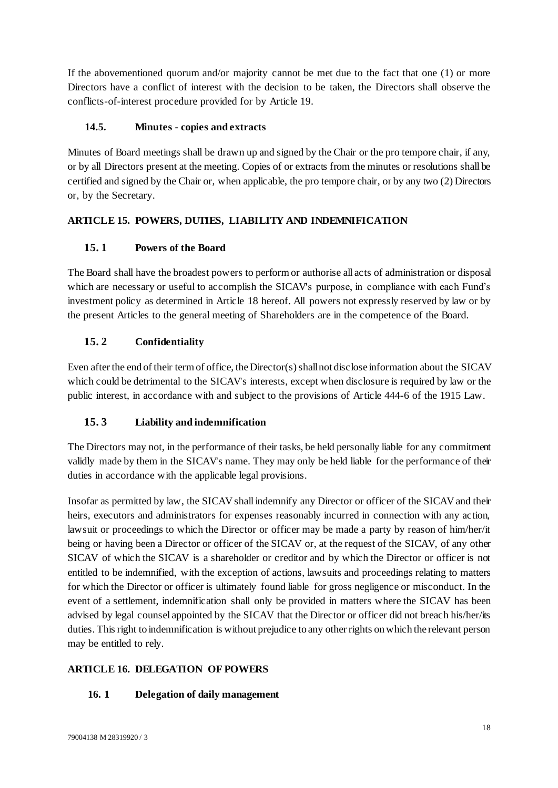If the abovementioned quorum and/or majority cannot be met due to the fact that one (1) or more Directors have a conflict of interest with the decision to be taken, the Directors shall observe the conflicts-of-interest procedure provided for by [Article 19](#page-20-0).

## **14.5. Minutes - copies and extracts**

Minutes of Board meetings shall be drawn up and signed by the Chair or the pro tempore chair, if any, or by all Directors present at the meeting. Copies of or extracts from the minutes or resolutions shall be certified and signed by the Chair or, when applicable, the pro tempore chair, or by any two (2) Directors or, by the Secretary.

# **ARTICLE 15. POWERS, DUTIES, LIABILITY AND INDEMNIFICATION**

# **15. 1 Powers of the Board**

The Board shall have the broadest powers to perform or authorise all acts of administration or disposal which are necessary or useful to accomplish the SICAV's purpose, in compliance with each Fund's investment policy as determined in [Article 18](#page-18-0) hereof. All powers not expressly reserved by law or by the present Articles to the general meeting of Shareholders are in the competence of the Board.

## <span id="page-17-0"></span>**15. 2 Confidentiality**

Even after the end of their term of office, the Director(s) shall not disclose information about the SICAV which could be detrimental to the SICAV's interests, except when disclosure is required by law or the public interest, in accordance with and subject to the provisions of Article 444-6 of the 1915 Law.

## **15. 3 Liability and indemnification**

The Directors may not, in the performance of their tasks, be held personally liable for any commitment validly made by them in the SICAV's name. They may only be held liable for the performance of their duties in accordance with the applicable legal provisions.

Insofar as permitted by law, the SICAV shall indemnify any Director or officer of the SICAV and their heirs, executors and administrators for expenses reasonably incurred in connection with any action, lawsuit or proceedings to which the Director or officer may be made a party by reason of him/her/it being or having been a Director or officer of the SICAV or, at the request of the SICAV, of any other SICAV of which the SICAV is a shareholder or creditor and by which the Director or officer is not entitled to be indemnified, with the exception of actions, lawsuits and proceedings relating to matters for which the Director or officer is ultimately found liable for gross negligence or misconduct. In the event of a settlement, indemnification shall only be provided in matters where the SICAV has been advised by legal counsel appointed by the SICAV that the Director or officer did not breach his/her/its duties. This right to indemnification is without prejudice to any other rights on which the relevant person may be entitled to rely.

# **ARTICLE 16. DELEGATION OF POWERS**

## **16. 1 Delegation of daily management**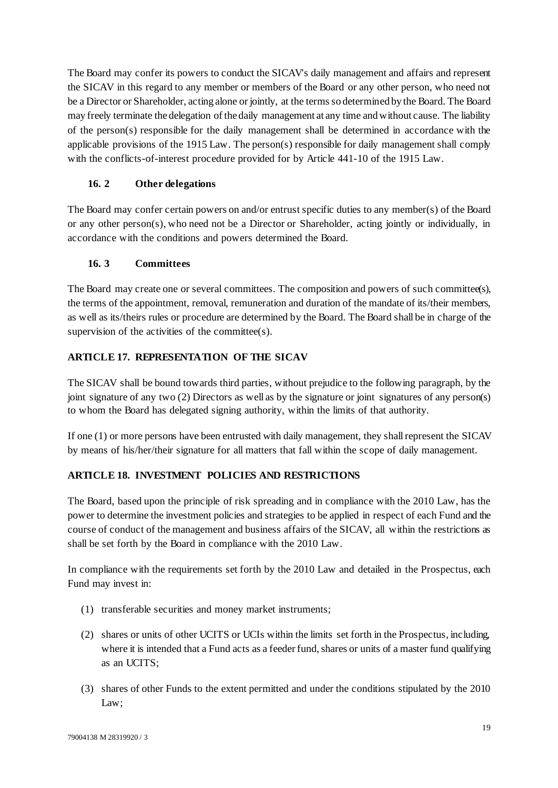The Board may confer its powers to conduct the SICAV's daily management and affairs and represent the SICAV in this regard to any member or members of the Board or any other person, who need not be a Director or Shareholder, acting alone or jointly, at the terms so determined by the Board. The Board may freely terminate the delegation of the daily management at any time and without cause. The liability of the person(s) responsible for the daily management shall be determined in accordance with the applicable provisions of the 1915 Law. The person(s) responsible for daily management shall comply with the conflicts-of-interest procedure provided for by Article 441-10 of the 1915 Law.

## **16. 2 Other delegations**

The Board may confer certain powers on and/or entrust specific duties to any member(s) of the Board or any other person(s), who need not be a Director or Shareholder, acting jointly or individually, in accordance with the conditions and powers determined the Board.

## **16. 3 Committees**

The Board may create one or several committees. The composition and powers of such committee(s), the terms of the appointment, removal, remuneration and duration of the mandate of its/their members, as well as its/theirs rules or procedure are determined by the Board. The Board shall be in charge of the supervision of the activities of the committee(s).

# **ARTICLE 17. REPRESENTATION OF THE SICAV**

The SICAV shall be bound towards third parties, without prejudice to the following paragraph, by the joint signature of any two (2) Directors as well as by the signature or joint signatures of any person(s) to whom the Board has delegated signing authority, within the limits of that authority.

If one (1) or more persons have been entrusted with daily management, they shall represent the SICAV by means of his/her/their signature for all matters that fall within the scope of daily management.

# <span id="page-18-0"></span>**ARTICLE 18. INVESTMENT POLICIES AND RESTRICTIONS**

The Board, based upon the principle of risk spreading and in compliance with the 2010 Law, has the power to determine the investment policies and strategies to be applied in respect of each Fund and the course of conduct of the management and business affairs of the SICAV, all within the restrictions as shall be set forth by the Board in compliance with the 2010 Law.

In compliance with the requirements set forth by the 2010 Law and detailed in the Prospectus, each Fund may invest in:

- (1) transferable securities and money market instruments;
- (2) shares or units of other UCITS or UCIs within the limits set forth in the Prospectus, including, where it is intended that a Fund acts as a feeder fund, shares or units of a master fund qualifying as an UCITS;
- (3) shares of other Funds to the extent permitted and under the conditions stipulated by the 2010 Law;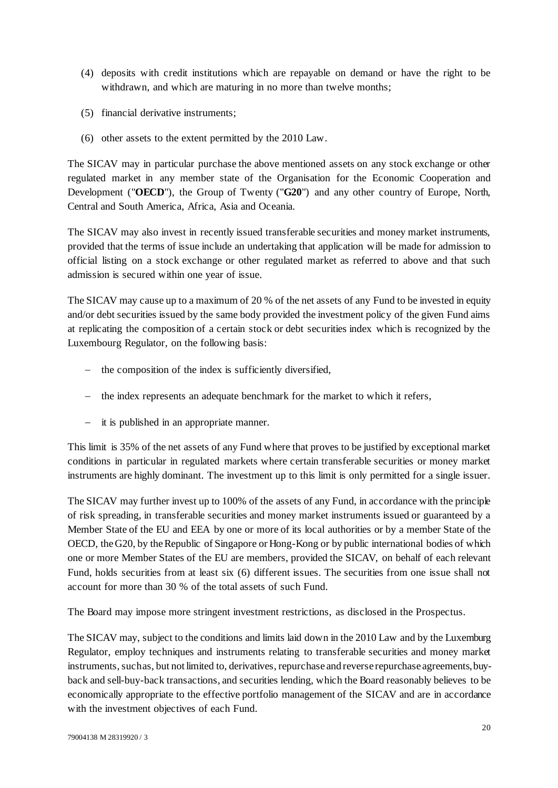- (4) deposits with credit institutions which are repayable on demand or have the right to be withdrawn, and which are maturing in no more than twelve months;
- (5) financial derivative instruments;
- (6) other assets to the extent permitted by the 2010 Law.

The SICAV may in particular purchase the above mentioned assets on any stock exchange or other regulated market in any member state of the Organisation for the Economic Cooperation and Development ("**OECD**"), the Group of Twenty ("**G20**") and any other country of Europe, North, Central and South America, Africa, Asia and Oceania.

The SICAV may also invest in recently issued transferable securities and money market instruments, provided that the terms of issue include an undertaking that application will be made for admission to official listing on a stock exchange or other regulated market as referred to above and that such admission is secured within one year of issue.

The SICAV may cause up to a maximum of 20 % of the net assets of any Fund to be invested in equity and/or debt securities issued by the same body provided the investment policy of the given Fund aims at replicating the composition of a certain stock or debt securities index which is recognized by the Luxembourg Regulator, on the following basis:

- $-$  the composition of the index is sufficiently diversified,
- the index represents an adequate benchmark for the market to which it refers,
- it is published in an appropriate manner.

This limit is 35% of the net assets of any Fund where that proves to be justified by exceptional market conditions in particular in regulated markets where certain transferable securities or money market instruments are highly dominant. The investment up to this limit is only permitted for a single issuer.

The SICAV may further invest up to 100% of the assets of any Fund, in accordance with the principle of risk spreading, in transferable securities and money market instruments issued or guaranteed by a Member State of the EU and EEA by one or more of its local authorities or by a member State of the OECD, the G20, by the Republic of Singapore or Hong-Kong or by public international bodies of which one or more Member States of the EU are members, provided the SICAV, on behalf of each relevant Fund, holds securities from at least six (6) different issues. The securities from one issue shall not account for more than 30 % of the total assets of such Fund.

The Board may impose more stringent investment restrictions, as disclosed in the Prospectus.

The SICAV may, subject to the conditions and limits laid down in the 2010 Law and by the Luxemburg Regulator, employ techniques and instruments relating to transferable securities and money market instruments, such as, but not limited to, derivatives, repurchase and reverse repurchase agreements, buyback and sell-buy-back transactions, and securities lending, which the Board reasonably believes to be economically appropriate to the effective portfolio management of the SICAV and are in accordance with the investment objectives of each Fund.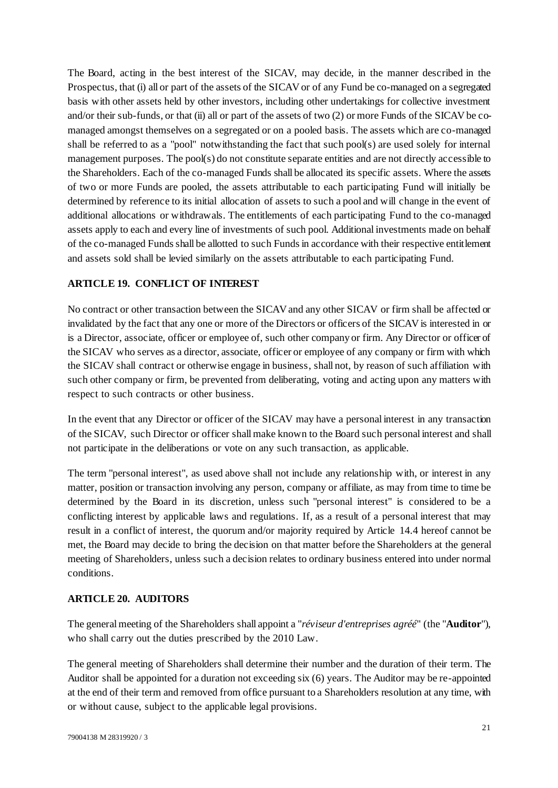The Board, acting in the best interest of the SICAV, may decide, in the manner described in the Prospectus, that (i) all or part of the assets of the SICAV or of any Fund be co-managed on a segregated basis with other assets held by other investors, including other undertakings for collective investment and/or their sub-funds, or that (ii) all or part of the assets of two (2) or more Funds of the SICAV be comanaged amongst themselves on a segregated or on a pooled basis. The assets which are co-managed shall be referred to as a "pool" notwithstanding the fact that such pool(s) are used solely for internal management purposes. The pool(s) do not constitute separate entities and are not directly accessible to the Shareholders. Each of the co-managed Funds shall be allocated its specific assets. Where the assets of two or more Funds are pooled, the assets attributable to each participating Fund will initially be determined by reference to its initial allocation of assets to such a pool and will change in the event of additional allocations or withdrawals. The entitlements of each participating Fund to the co-managed assets apply to each and every line of investments of such pool. Additional investments made on behalf of the co-managed Funds shall be allotted to such Funds in accordance with their respective entitlement and assets sold shall be levied similarly on the assets attributable to each participating Fund.

### <span id="page-20-0"></span>**ARTICLE 19. CONFLICT OF INTEREST**

No contract or other transaction between the SICAV and any other SICAV or firm shall be affected or invalidated by the fact that any one or more of the Directors or officers of the SICAV is interested in or is a Director, associate, officer or employee of, such other company or firm. Any Director or officer of the SICAV who serves as a director, associate, officer or employee of any company or firm with which the SICAV shall contract or otherwise engage in business, shall not, by reason of such affiliation with such other company or firm, be prevented from deliberating, voting and acting upon any matters with respect to such contracts or other business.

In the event that any Director or officer of the SICAV may have a personal interest in any transaction of the SICAV, such Director or officer shall make known to the Board such personal interest and shall not participate in the deliberations or vote on any such transaction, as applicable.

The term "personal interest", as used above shall not include any relationship with, or interest in any matter, position or transaction involving any person, company or affiliate, as may from time to time be determined by the Board in its discretion, unless such "personal interest" is considered to be a conflicting interest by applicable laws and regulations. If, as a result of a personal interest that may result in a conflict of interest, the quorum and/or majority required by Article [14.4](#page-16-0) hereof cannot be met, the Board may decide to bring the decision on that matter before the Shareholders at the general meeting of Shareholders, unless such a decision relates to ordinary business entered into under normal conditions.

## <span id="page-20-1"></span>**ARTICLE 20. AUDITORS**

The general meeting of the Shareholders shall appoint a "*réviseur d'entreprises agréé*" (the "**Auditor**"), who shall carry out the duties prescribed by the 2010 Law.

The general meeting of Shareholders shall determine their number and the duration of their term. The Auditor shall be appointed for a duration not exceeding six (6) years. The Auditor may be re-appointed at the end of their term and removed from office pursuant to a Shareholders resolution at any time, with or without cause, subject to the applicable legal provisions.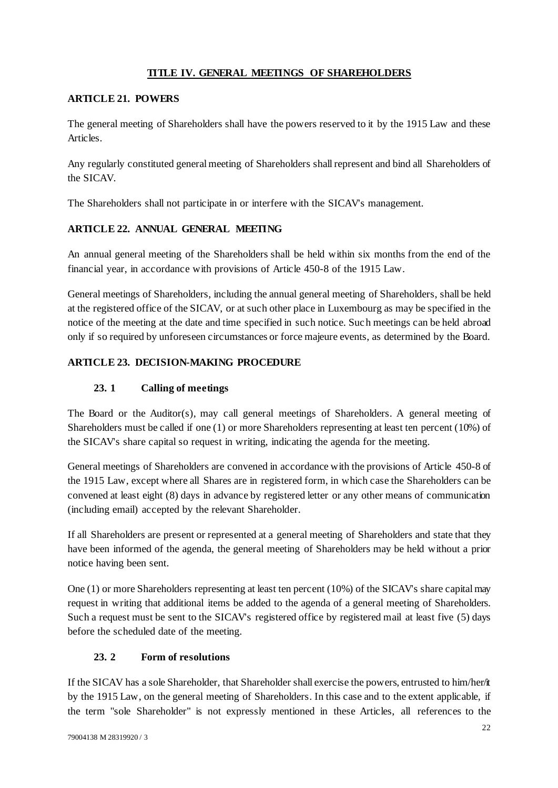## **TITLE IV. GENERAL MEETINGS OF SHAREHOLDERS**

## **ARTICLE 21. POWERS**

The general meeting of Shareholders shall have the powers reserved to it by the 1915 Law and these Articles.

Any regularly constituted general meeting of Shareholders shall represent and bind all Shareholders of the SICAV.

The Shareholders shall not participate in or interfere with the SICAV's management.

## **ARTICLE 22. ANNUAL GENERAL MEETING**

An annual general meeting of the Shareholders shall be held within six months from the end of the financial year, in accordance with provisions of Article 450-8 of the 1915 Law.

General meetings of Shareholders, including the annual general meeting of Shareholders, shall be held at the registered office of the SICAV, or at such other place in Luxembourg as may be specified in the notice of the meeting at the date and time specified in such notice. Such meetings can be held abroad only if so required by unforeseen circumstances or force majeure events, as determined by the Board.

## **ARTICLE 23. DECISION-MAKING PROCEDURE**

## **23. 1 Calling of meetings**

<span id="page-21-0"></span>The Board or the Auditor(s), may call general meetings of Shareholders. A general meeting of Shareholders must be called if one (1) or more Shareholders representing at least ten percent (10%) of the SICAV's share capital so request in writing, indicating the agenda for the meeting.

General meetings of Shareholders are convened in accordance with the provisions of Article 450-8 of the 1915 Law, except where all Shares are in registered form, in which case the Shareholders can be convened at least eight (8) days in advance by registered letter or any other means of communication (including email) accepted by the relevant Shareholder.

If all Shareholders are present or represented at a general meeting of Shareholders and state that they have been informed of the agenda, the general meeting of Shareholders may be held without a prior notice having been sent.

One (1) or more Shareholders representing at least ten percent (10%) of the SICAV's share capital may request in writing that additional items be added to the agenda of a general meeting of Shareholders. Such a request must be sent to the SICAV's registered office by registered mail at least five (5) days before the scheduled date of the meeting.

## **23. 2 Form of resolutions**

<span id="page-21-1"></span>If the SICAV has a sole Shareholder, that Shareholder shall exercise the powers, entrusted to him/her/it by the 1915 Law, on the general meeting of Shareholders. In this case and to the extent applicable, if the term "sole Shareholder" is not expressly mentioned in these Articles, all references to the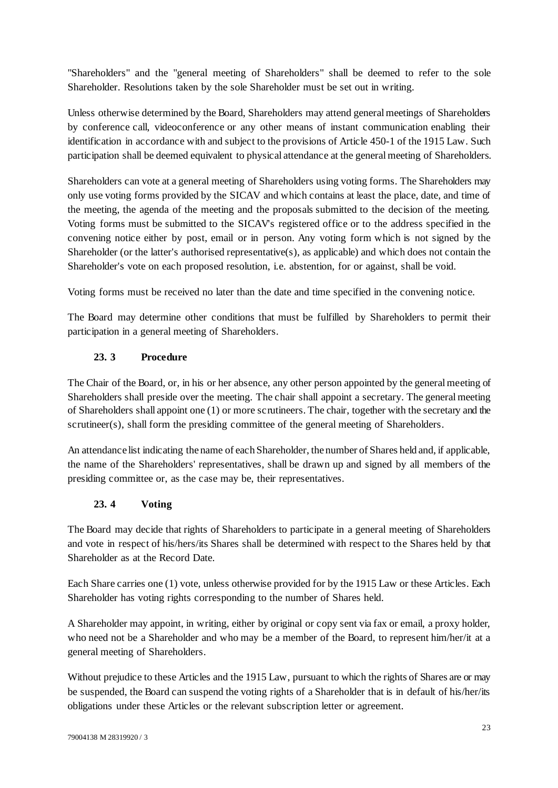"Shareholders" and the "general meeting of Shareholders" shall be deemed to refer to the sole Shareholder. Resolutions taken by the sole Shareholder must be set out in writing.

Unless otherwise determined by the Board, Shareholders may attend general meetings of Shareholders by conference call, videoconference or any other means of instant communication enabling their identification in accordance with and subject to the provisions of Article 450-1 of the 1915 Law. Such participation shall be deemed equivalent to physical attendance at the general meeting of Shareholders.

Shareholders can vote at a general meeting of Shareholders using voting forms. The Shareholders may only use voting forms provided by the SICAV and which contains at least the place, date, and time of the meeting, the agenda of the meeting and the proposals submitted to the decision of the meeting. Voting forms must be submitted to the SICAV's registered office or to the address specified in the convening notice either by post, email or in person. Any voting form which is not signed by the Shareholder (or the latter's authorised representative(s), as applicable) and which does not contain the Shareholder's vote on each proposed resolution, i.e. abstention, for or against, shall be void.

Voting forms must be received no later than the date and time specified in the convening notice.

The Board may determine other conditions that must be fulfilled by Shareholders to permit their participation in a general meeting of Shareholders.

## **23. 3 Procedure**

<span id="page-22-0"></span>The Chair of the Board, or, in his or her absence, any other person appointed by the general meeting of Shareholders shall preside over the meeting. The chair shall appoint a secretary. The general meeting of Shareholders shall appoint one (1) or more scrutineers. The chair, together with the secretary and the scrutineer(s), shall form the presiding committee of the general meeting of Shareholders.

An attendance list indicating the name of each Shareholder, the number of Shares held and, if applicable, the name of the Shareholders' representatives, shall be drawn up and signed by all members of the presiding committee or, as the case may be, their representatives.

# **23. 4 Voting**

<span id="page-22-1"></span>The Board may decide that rights of Shareholders to participate in a general meeting of Shareholders and vote in respect of his/hers/its Shares shall be determined with respect to the Shares held by that Shareholder as at the Record Date.

Each Share carries one (1) vote, unless otherwise provided for by the 1915 Law or these Articles. Each Shareholder has voting rights corresponding to the number of Shares held.

A Shareholder may appoint, in writing, either by original or copy sent via fax or email, a proxy holder, who need not be a Shareholder and who may be a member of the Board, to represent him/her/it at a general meeting of Shareholders.

Without prejudice to these Articles and the 1915 Law, pursuant to which the rights of Shares are or may be suspended, the Board can suspend the voting rights of a Shareholder that is in default of his/her/its obligations under these Articles or the relevant subscription letter or agreement.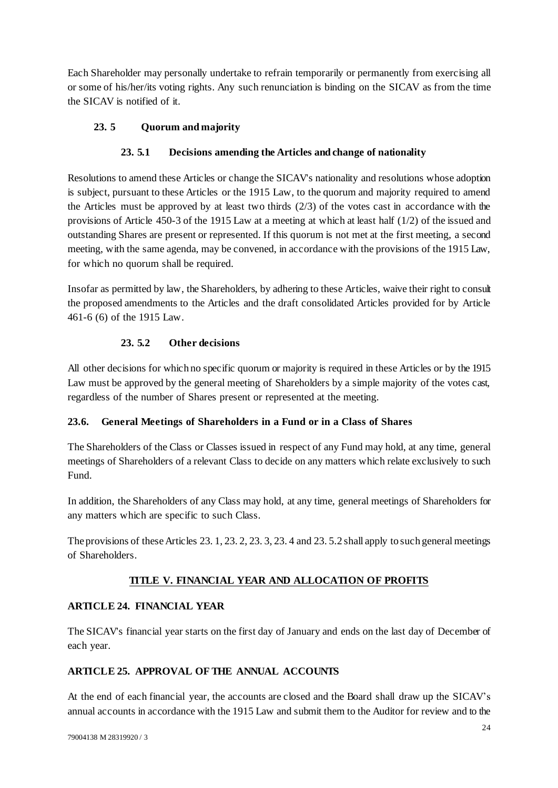Each Shareholder may personally undertake to refrain temporarily or permanently from exercising all or some of his/her/its voting rights. Any such renunciation is binding on the SICAV as from the time the SICAV is notified of it.

## **23. 5 Quorum and majority**

## **23. 5.1 Decisions amending the Articles and change of nationality**

<span id="page-23-0"></span>Resolutions to amend these Articles or change the SICAV's nationality and resolutions whose adoption is subject, pursuant to these Articles or the 1915 Law, to the quorum and majority required to amend the Articles must be approved by at least two thirds (2/3) of the votes cast in accordance with the provisions of Article 450-3 of the 1915 Law at a meeting at which at least half (1/2) of the issued and outstanding Shares are present or represented. If this quorum is not met at the first meeting, a second meeting, with the same agenda, may be convened, in accordance with the provisions of the 1915 Law, for which no quorum shall be required.

Insofar as permitted by law, the Shareholders, by adhering to these Articles, waive their right to consult the proposed amendments to the Articles and the draft consolidated Articles provided for by Article 461-6 (6) of the 1915 Law.

## **23. 5.2 Other decisions**

<span id="page-23-1"></span>All other decisions for which no specific quorum or majority is required in these Articles or by the 1915 Law must be approved by the general meeting of Shareholders by a simple majority of the votes cast, regardless of the number of Shares present or represented at the meeting.

## **23.6. General Meetings of Shareholders in a Fund or in a Class of Shares**

The Shareholders of the Class or Classes issued in respect of any Fund may hold, at any time, general meetings of Shareholders of a relevant Class to decide on any matters which relate exclusively to such Fund.

In addition, the Shareholders of any Class may hold, at any time, general meetings of Shareholders for any matters which are specific to such Class.

The provisions of these Articles [23. 1,](#page-21-0) [23. 2,](#page-21-1) [23. 3,](#page-22-0) [23. 4](#page-22-1) and [23. 5.2](#page-23-1) shall apply to such general meetings of Shareholders.

# **TITLE V. FINANCIAL YEAR AND ALLOCATION OF PROFITS**

# **ARTICLE 24. FINANCIAL YEAR**

The SICAV's financial year starts on the first day of January and ends on the last day of December of each year.

# **ARTICLE 25. APPROVAL OF THE ANNUAL ACCOUNTS**

At the end of each financial year, the accounts are closed and the Board shall draw up the SICAV's annual accounts in accordance with the 1915 Law and submit them to the Auditor for review and to the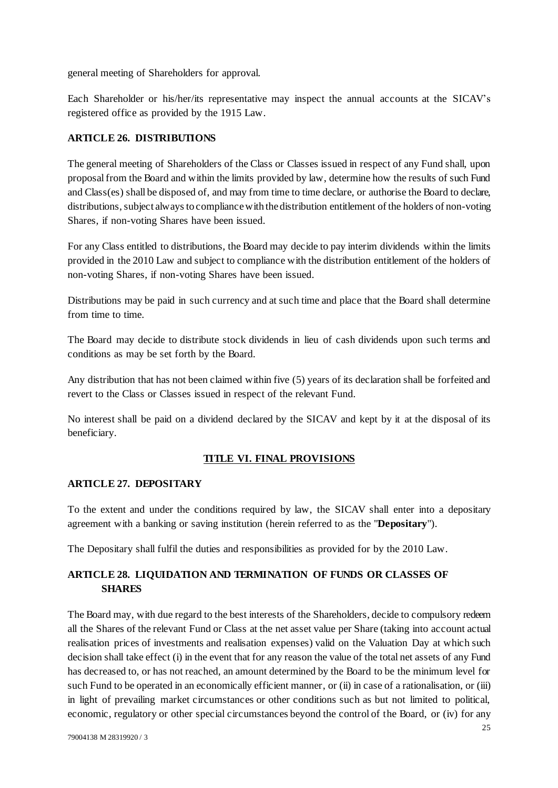general meeting of Shareholders for approval.

Each Shareholder or his/her/its representative may inspect the annual accounts at the SICAV's registered office as provided by the 1915 Law.

### **ARTICLE 26. DISTRIBUTIONS**

The general meeting of Shareholders of the Class or Classes issued in respect of any Fund shall, upon proposal from the Board and within the limits provided by law, determine how the results of such Fund and Class(es) shall be disposed of, and may from time to time declare, or authorise the Board to declare, distributions, subject always to compliance with the distribution entitlement of the holders of non-voting Shares, if non-voting Shares have been issued.

For any Class entitled to distributions, the Board may decide to pay interim dividends within the limits provided in the 2010 Law and subject to compliance with the distribution entitlement of the holders of non-voting Shares, if non-voting Shares have been issued.

Distributions may be paid in such currency and at such time and place that the Board shall determine from time to time.

The Board may decide to distribute stock dividends in lieu of cash dividends upon such terms and conditions as may be set forth by the Board.

Any distribution that has not been claimed within five (5) years of its declaration shall be forfeited and revert to the Class or Classes issued in respect of the relevant Fund.

No interest shall be paid on a dividend declared by the SICAV and kept by it at the disposal of its beneficiary.

## **TITLE VI. FINAL PROVISIONS**

#### <span id="page-24-1"></span>**ARTICLE 27. DEPOSITARY**

To the extent and under the conditions required by law, the SICAV shall enter into a depositary agreement with a banking or saving institution (herein referred to as the "**Depositary**").

The Depositary shall fulfil the duties and responsibilities as provided for by the 2010 Law.

## <span id="page-24-0"></span>**ARTICLE 28. LIQUIDATION AND TERMINATION OF FUNDS OR CLASSES OF SHARES**

The Board may, with due regard to the best interests of the Shareholders, decide to compulsory redeem all the Shares of the relevant Fund or Class at the net asset value per Share (taking into account actual realisation prices of investments and realisation expenses) valid on the Valuation Day at which such decision shall take effect (i) in the event that for any reason the value of the total net assets of any Fund has decreased to, or has not reached, an amount determined by the Board to be the minimum level for such Fund to be operated in an economically efficient manner, or (ii) in case of a rationalisation, or (iii) in light of prevailing market circumstances or other conditions such as but not limited to political, economic, regulatory or other special circumstances beyond the control of the Board, or (iv) for any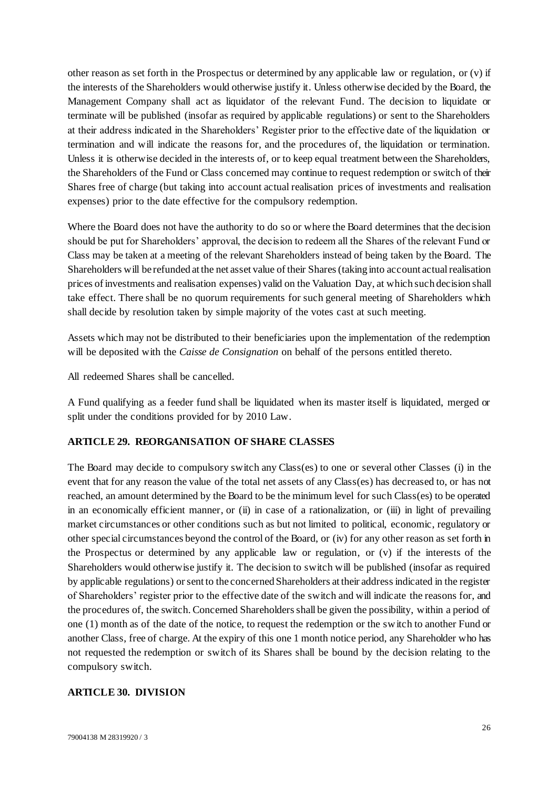other reason as set forth in the Prospectus or determined by any applicable law or regulation, or (v) if the interests of the Shareholders would otherwise justify it. Unless otherwise decided by the Board, the Management Company shall act as liquidator of the relevant Fund. The decision to liquidate or terminate will be published (insofar as required by applicable regulations) or sent to the Shareholders at their address indicated in the Shareholders' Register prior to the effective date of the liquidation or termination and will indicate the reasons for, and the procedures of, the liquidation or termination. Unless it is otherwise decided in the interests of, or to keep equal treatment between the Shareholders, the Shareholders of the Fund or Class concerned may continue to request redemption or switch of their Shares free of charge (but taking into account actual realisation prices of investments and realisation expenses) prior to the date effective for the compulsory redemption.

Where the Board does not have the authority to do so or where the Board determines that the decision should be put for Shareholders' approval, the decision to redeem all the Shares of the relevant Fund or Class may be taken at a meeting of the relevant Shareholders instead of being taken by the Board. The Shareholders will be refunded at the net asset value of their Shares (taking into account actual realisation prices of investments and realisation expenses) valid on the Valuation Day, at which such decision shall take effect. There shall be no quorum requirements for such general meeting of Shareholders which shall decide by resolution taken by simple majority of the votes cast at such meeting.

Assets which may not be distributed to their beneficiaries upon the implementation of the redemption will be deposited with the *Caisse de Consignation* on behalf of the persons entitled thereto.

All redeemed Shares shall be cancelled.

A Fund qualifying as a feeder fund shall be liquidated when its master itself is liquidated, merged or split under the conditions provided for by 2010 Law.

#### **ARTICLE 29. REORGANISATION OF SHARE CLASSES**

The Board may decide to compulsory switch any Class(es) to one or several other Classes (i) in the event that for any reason the value of the total net assets of any Class(es) has decreased to, or has not reached, an amount determined by the Board to be the minimum level for such Class(es) to be operated in an economically efficient manner, or (ii) in case of a rationalization, or (iii) in light of prevailing market circumstances or other conditions such as but not limited to political, economic, regulatory or other special circumstances beyond the control of the Board, or (iv) for any other reason as set forth in the Prospectus or determined by any applicable law or regulation, or (v) if the interests of the Shareholders would otherwise justify it. The decision to switch will be published (insofar as required by applicable regulations) or sent to the concerned Shareholders at their address indicated in the register of Shareholders' register prior to the effective date of the switch and will indicate the reasons for, and the procedures of, the switch. Concerned Shareholders shall be given the possibility, within a period of one (1) month as of the date of the notice, to request the redemption or the switch to another Fund or another Class, free of charge. At the expiry of this one 1 month notice period, any Shareholder who has not requested the redemption or switch of its Shares shall be bound by the decision relating to the compulsory switch.

#### **ARTICLE 30. DIVISION**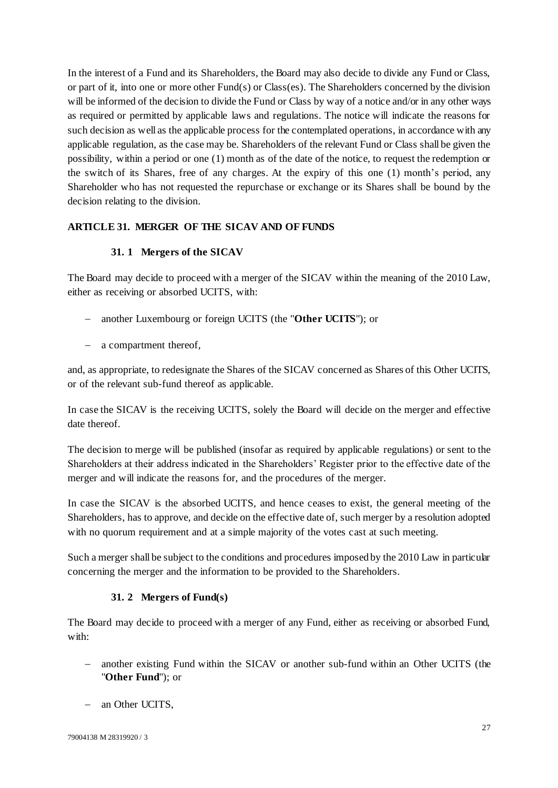In the interest of a Fund and its Shareholders, the Board may also decide to divide any Fund or Class, or part of it, into one or more other Fund(s) or Class(es). The Shareholders concerned by the division will be informed of the decision to divide the Fund or Class by way of a notice and/or in any other ways as required or permitted by applicable laws and regulations. The notice will indicate the reasons for such decision as well as the applicable process for the contemplated operations, in accordance with any applicable regulation, as the case may be. Shareholders of the relevant Fund or Class shall be given the possibility, within a period or one (1) month as of the date of the notice, to request the redemption or the switch of its Shares, free of any charges. At the expiry of this one (1) month's period, any Shareholder who has not requested the repurchase or exchange or its Shares shall be bound by the decision relating to the division.

## <span id="page-26-0"></span>**ARTICLE 31. MERGER OF THE SICAV AND OF FUNDS**

### **31. 1 Mergers of the SICAV**

<span id="page-26-2"></span>The Board may decide to proceed with a merger of the SICAV within the meaning of the 2010 Law, either as receiving or absorbed UCITS, with:

- another Luxembourg or foreign UCITS (the "**Other UCITS**"); or
- a compartment thereof,

and, as appropriate, to redesignate the Shares of the SICAV concerned as Shares of this Other UCITS, or of the relevant sub-fund thereof as applicable.

In case the SICAV is the receiving UCITS, solely the Board will decide on the merger and effective date thereof.

The decision to merge will be published (insofar as required by applicable regulations) or sent to the Shareholders at their address indicated in the Shareholders' Register prior to the effective date of the merger and will indicate the reasons for, and the procedures of the merger.

In case the SICAV is the absorbed UCITS, and hence ceases to exist, the general meeting of the Shareholders, has to approve, and decide on the effective date of, such merger by a resolution adopted with no quorum requirement and at a simple majority of the votes cast at such meeting.

Such a merger shall be subject to the conditions and procedures imposed by the 2010 Law in particular concerning the merger and the information to be provided to the Shareholders.

#### **31. 2 Mergers of Fund(s)**

<span id="page-26-1"></span>The Board may decide to proceed with a merger of any Fund, either as receiving or absorbed Fund, with:

- another existing Fund within the SICAV or another sub-fund within an Other UCITS (the "**Other Fund**"); or
- an Other UCITS,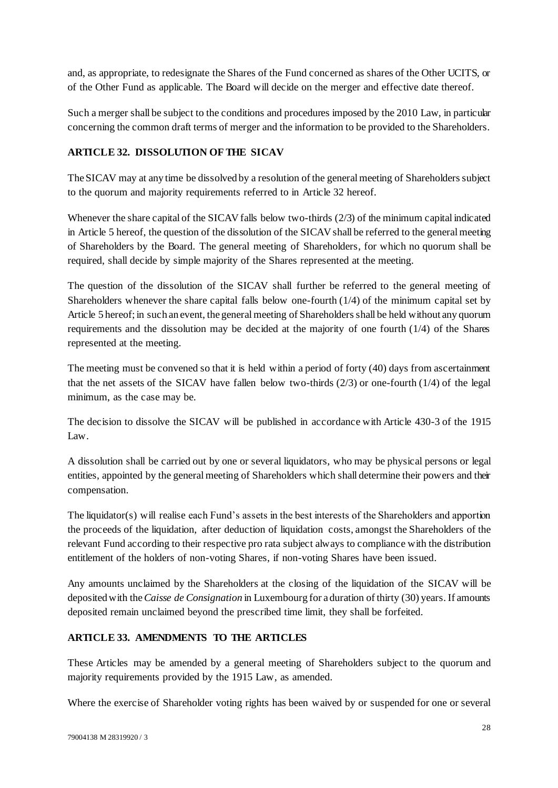and, as appropriate, to redesignate the Shares of the Fund concerned as shares of the Other UCITS, or of the Other Fund as applicable. The Board will decide on the merger and effective date thereof.

Such a merger shall be subject to the conditions and procedures imposed by the 2010 Law, in particular concerning the common draft terms of merger and the information to be provided to the Shareholders.

### <span id="page-27-0"></span>**ARTICLE 32. DISSOLUTION OF THE SICAV**

The SICAV may at any time be dissolved by a resolution of the general meeting of Shareholders subject to the quorum and majority requirements referred to in [Article 32](#page-27-0) hereof.

Whenever the share capital of the SICAV falls below two-thirds  $(2/3)$  of the minimum capital indicated in [Article 5](#page-1-0) hereof, the question of the dissolution of the SICAVshall be referred to the general meeting of Shareholders by the Board. The general meeting of Shareholders, for which no quorum shall be required, shall decide by simple majority of the Shares represented at the meeting.

The question of the dissolution of the SICAV shall further be referred to the general meeting of Shareholders whenever the share capital falls below one-fourth  $(1/4)$  of the minimum capital set by [Article 5](#page-1-0) hereof; in such an event, the general meeting of Shareholders shall be held without any quorum requirements and the dissolution may be decided at the majority of one fourth (1/4) of the Shares represented at the meeting.

The meeting must be convened so that it is held within a period of forty (40) days from ascertainment that the net assets of the SICAV have fallen below two-thirds  $(2/3)$  or one-fourth  $(1/4)$  of the legal minimum, as the case may be.

The decision to dissolve the SICAV will be published in accordance with Article 430-3 of the 1915 Law.

A dissolution shall be carried out by one or several liquidators, who may be physical persons or legal entities, appointed by the general meeting of Shareholders which shall determine their powers and their compensation.

The liquidator(s) will realise each Fund's assets in the best interests of the Shareholders and apportion the proceeds of the liquidation, after deduction of liquidation costs, amongst the Shareholders of the relevant Fund according to their respective pro rata subject always to compliance with the distribution entitlement of the holders of non-voting Shares, if non-voting Shares have been issued.

Any amounts unclaimed by the Shareholders at the closing of the liquidation of the SICAV will be deposited with the *Caisse de Consignation* in Luxembourg for a duration of thirty (30) years. If amounts deposited remain unclaimed beyond the prescribed time limit, they shall be forfeited.

## **ARTICLE 33. AMENDMENTS TO THE ARTICLES**

These Articles may be amended by a general meeting of Shareholders subject to the quorum and majority requirements provided by the 1915 Law, as amended.

Where the exercise of Shareholder voting rights has been waived by or suspended for one or several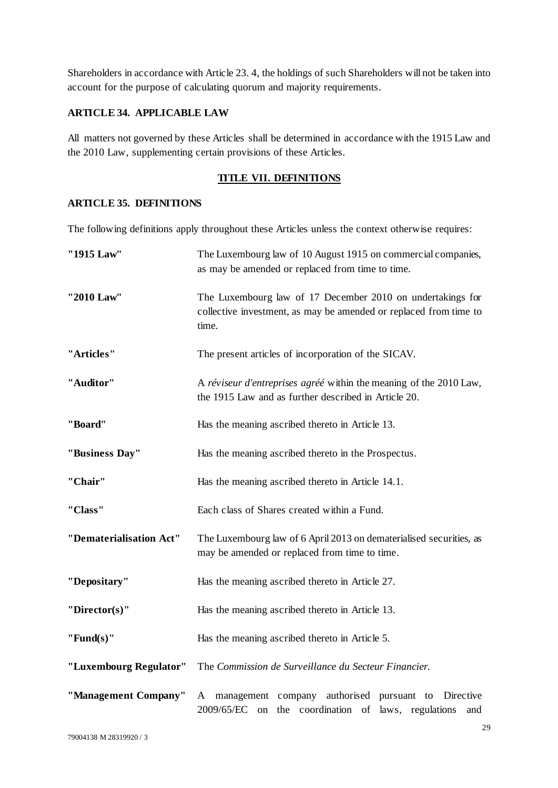Shareholders in accordance with Article [23. 4,](#page-22-1) the holdings of such Shareholders will not be taken into account for the purpose of calculating quorum and majority requirements.

## **ARTICLE 34. APPLICABLE LAW**

All matters not governed by these Articles shall be determined in accordance with the 1915 Law and the 2010 Law, supplementing certain provisions of these Articles.

#### **TITLE VII. DEFINITIONS**

### **ARTICLE 35. DEFINITIONS**

The following definitions apply throughout these Articles unless the context otherwise requires:

| "1915 Law"              | The Luxembourg law of 10 August 1915 on commercial companies,<br>as may be amended or replaced from time to time.                        |
|-------------------------|------------------------------------------------------------------------------------------------------------------------------------------|
| "2010 Law"              | The Luxembourg law of 17 December 2010 on undertakings for<br>collective investment, as may be amended or replaced from time to<br>time. |
| "Articles"              | The present articles of incorporation of the SICAV.                                                                                      |
| "Auditor"               | A réviseur d'entreprises agréé within the meaning of the 2010 Law,<br>the 1915 Law and as further described in Article 20.               |
| "Board"                 | Has the meaning ascribed thereto in Article 13.                                                                                          |
| "Business Day"          | Has the meaning ascribed thereto in the Prospectus.                                                                                      |
| "Chair"                 | Has the meaning ascribed thereto in Article 14.1.                                                                                        |
| "Class"                 | Each class of Shares created within a Fund.                                                                                              |
| "Dematerialisation Act" | The Luxembourg law of 6 April 2013 on dematerialised securities, as<br>may be amended or replaced from time to time.                     |
| "Depositary"            | Has the meaning ascribed thereto in Article 27.                                                                                          |
| "Director(s)"           | Has the meaning ascribed thereto in Article 13.                                                                                          |
| "Fund $(s)$ "           | Has the meaning ascribed thereto in Article 5.                                                                                           |
| "Luxembourg Regulator"  | The Commission de Surveillance du Secteur Financier.                                                                                     |
| "Management Company"    | management company authorised pursuant to<br>Directive<br>A<br>2009/65/EC on the coordination of laws, regulations<br>and                |